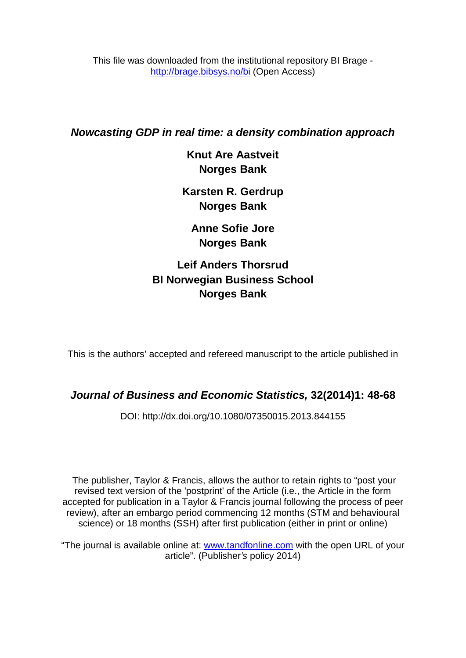This file was downloaded from the institutional repository BI Brage <http://brage.bibsys.no/bi> (Open Access)

# *Nowcasting GDP in real time: a density combination approach*

**Knut Are Aastveit Norges Bank**

**Karsten R. Gerdrup Norges Bank**

**Anne Sofie Jore Norges Bank**

**Leif Anders Thorsrud BI Norwegian Business School Norges Bank**

This is the authors' accepted and refereed manuscript to the article published in

# *Journal of Business and Economic Statistics,* **32(2014)1: 48-68**

DOI: http://dx.doi.org/10.1080/07350015.2013.844155

The publisher, Taylor & Francis, allows the author to retain rights to "post your revised text version of the 'postprint' of the Article (i.e., the Article in the form accepted for publication in a Taylor & Francis journal following the process of peer review), after an embargo period commencing 12 months (STM and behavioural science) or 18 months (SSH) after first publication (either in print or online)

"The journal is available online at: [www.tandfonline.com](http://www.tandfonline.com/) with the open URL of your article". (Publisher*'s* policy 2014)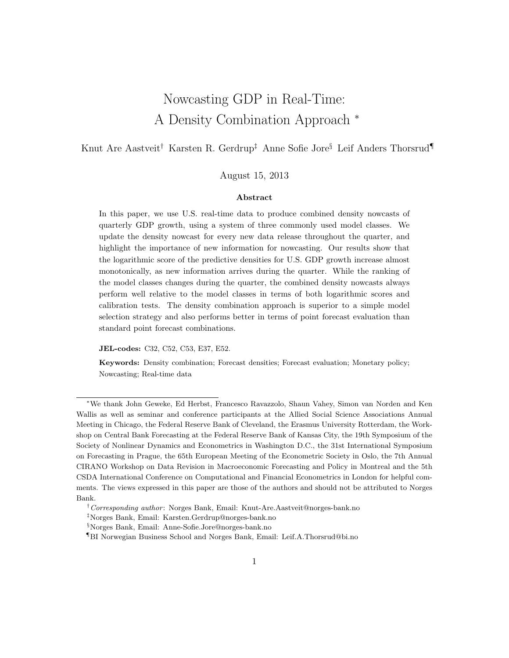# Nowcasting GDP in Real-Time: A Density Combination Approach <sup>∗</sup>

# Knut Are Aastveit† Karsten R. Gerdrup‡ Anne Sofie Jore§ Leif Anders Thorsrud¶

### August 15, 2013

#### Abstract

In this paper, we use U.S. real-time data to produce combined density nowcasts of quarterly GDP growth, using a system of three commonly used model classes. We update the density nowcast for every new data release throughout the quarter, and highlight the importance of new information for nowcasting. Our results show that the logarithmic score of the predictive densities for U.S. GDP growth increase almost monotonically, as new information arrives during the quarter. While the ranking of the model classes changes during the quarter, the combined density nowcasts always perform well relative to the model classes in terms of both logarithmic scores and calibration tests. The density combination approach is superior to a simple model selection strategy and also performs better in terms of point forecast evaluation than standard point forecast combinations.

JEL-codes: C32, C52, C53, E37, E52.

Keywords: Density combination; Forecast densities; Forecast evaluation; Monetary policy; Nowcasting; Real-time data

<sup>∗</sup>We thank John Geweke, Ed Herbst, Francesco Ravazzolo, Shaun Vahey, Simon van Norden and Ken Wallis as well as seminar and conference participants at the Allied Social Science Associations Annual Meeting in Chicago, the Federal Reserve Bank of Cleveland, the Erasmus University Rotterdam, the Workshop on Central Bank Forecasting at the Federal Reserve Bank of Kansas City, the 19th Symposium of the Society of Nonlinear Dynamics and Econometrics in Washington D.C., the 31st International Symposium on Forecasting in Prague, the 65th European Meeting of the Econometric Society in Oslo, the 7th Annual CIRANO Workshop on Data Revision in Macroeconomic Forecasting and Policy in Montreal and the 5th CSDA International Conference on Computational and Financial Econometrics in London for helpful comments. The views expressed in this paper are those of the authors and should not be attributed to Norges Bank.

<sup>&</sup>lt;sup>†</sup>Corresponding author: Norges Bank, Email: Knut-Are.Aastveit@norges-bank.no

<sup>‡</sup>Norges Bank, Email: Karsten.Gerdrup@norges-bank.no

<sup>§</sup>Norges Bank, Email: Anne-Sofie.Jore@norges-bank.no

<sup>¶</sup>BI Norwegian Business School and Norges Bank, Email: Leif.A.Thorsrud@bi.no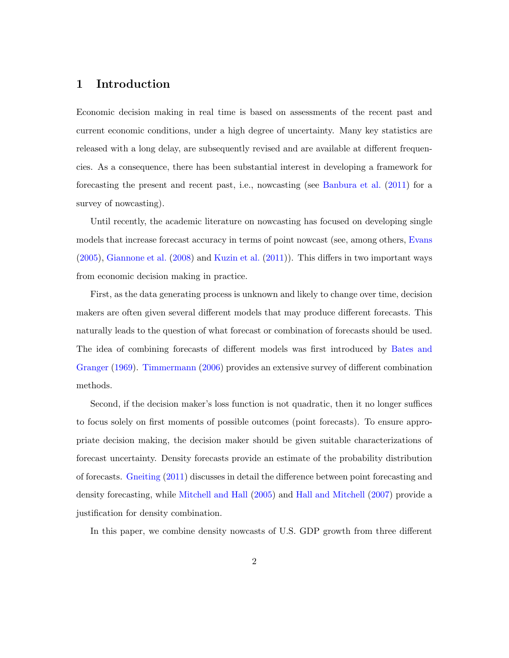# 1 Introduction

Economic decision making in real time is based on assessments of the recent past and current economic conditions, under a high degree of uncertainty. Many key statistics are released with a long delay, are subsequently revised and are available at different frequencies. As a consequence, there has been substantial interest in developing a framework for forecasting the present and recent past, i.e., nowcasting (see [Banbura et al.](#page-26-0) [\(2011\)](#page-26-0) for a survey of nowcasting).

Until recently, the academic literature on nowcasting has focused on developing single models that increase forecast accuracy in terms of point nowcast (see, among others, [Evans](#page-27-0) [\(2005\)](#page-27-0), [Giannone et al.](#page-28-0) [\(2008\)](#page-28-0) and [Kuzin et al.](#page-29-0) [\(2011\)](#page-29-0)). This differs in two important ways from economic decision making in practice.

First, as the data generating process is unknown and likely to change over time, decision makers are often given several different models that may produce different forecasts. This naturally leads to the question of what forecast or combination of forecasts should be used. The idea of combining forecasts of different models was first introduced by [Bates and](#page-26-1) [Granger](#page-26-1) [\(1969\)](#page-26-1). [Timmermann](#page-30-0) [\(2006\)](#page-30-0) provides an extensive survey of different combination methods.

Second, if the decision maker's loss function is not quadratic, then it no longer suffices to focus solely on first moments of possible outcomes (point forecasts). To ensure appropriate decision making, the decision maker should be given suitable characterizations of forecast uncertainty. Density forecasts provide an estimate of the probability distribution of forecasts. [Gneiting](#page-28-1) [\(2011\)](#page-28-1) discusses in detail the difference between point forecasting and density forecasting, while [Mitchell and Hall](#page-29-1) [\(2005\)](#page-29-1) and [Hall and Mitchell](#page-28-2) [\(2007\)](#page-28-2) provide a justification for density combination.

In this paper, we combine density nowcasts of U.S. GDP growth from three different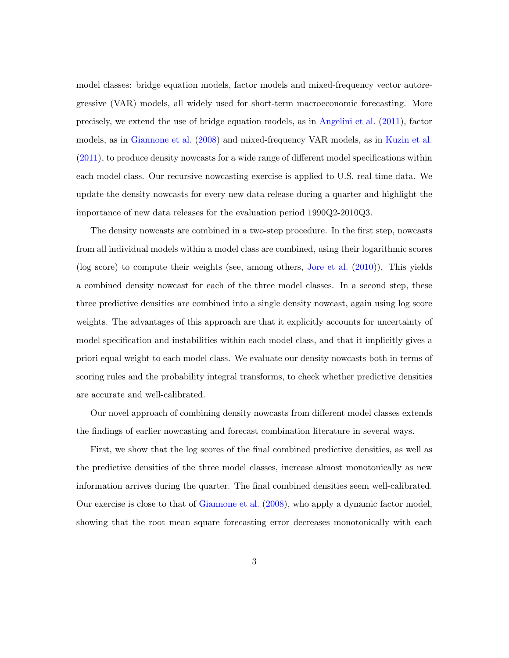model classes: bridge equation models, factor models and mixed-frequency vector autoregressive (VAR) models, all widely used for short-term macroeconomic forecasting. More precisely, we extend the use of bridge equation models, as in [Angelini et al.](#page-26-2) [\(2011\)](#page-26-2), factor models, as in [Giannone et al.](#page-28-0) [\(2008\)](#page-28-0) and mixed-frequency VAR models, as in [Kuzin et al.](#page-29-0) [\(2011\)](#page-29-0), to produce density nowcasts for a wide range of different model specifications within each model class. Our recursive nowcasting exercise is applied to U.S. real-time data. We update the density nowcasts for every new data release during a quarter and highlight the importance of new data releases for the evaluation period 1990Q2-2010Q3.

The density nowcasts are combined in a two-step procedure. In the first step, nowcasts from all individual models within a model class are combined, using their logarithmic scores (log score) to compute their weights (see, among others, [Jore et al.](#page-28-3) [\(2010\)](#page-28-3)). This yields a combined density nowcast for each of the three model classes. In a second step, these three predictive densities are combined into a single density nowcast, again using log score weights. The advantages of this approach are that it explicitly accounts for uncertainty of model specification and instabilities within each model class, and that it implicitly gives a priori equal weight to each model class. We evaluate our density nowcasts both in terms of scoring rules and the probability integral transforms, to check whether predictive densities are accurate and well-calibrated.

Our novel approach of combining density nowcasts from different model classes extends the findings of earlier nowcasting and forecast combination literature in several ways.

First, we show that the log scores of the final combined predictive densities, as well as the predictive densities of the three model classes, increase almost monotonically as new information arrives during the quarter. The final combined densities seem well-calibrated. Our exercise is close to that of [Giannone et al.](#page-28-0) [\(2008\)](#page-28-0), who apply a dynamic factor model, showing that the root mean square forecasting error decreases monotonically with each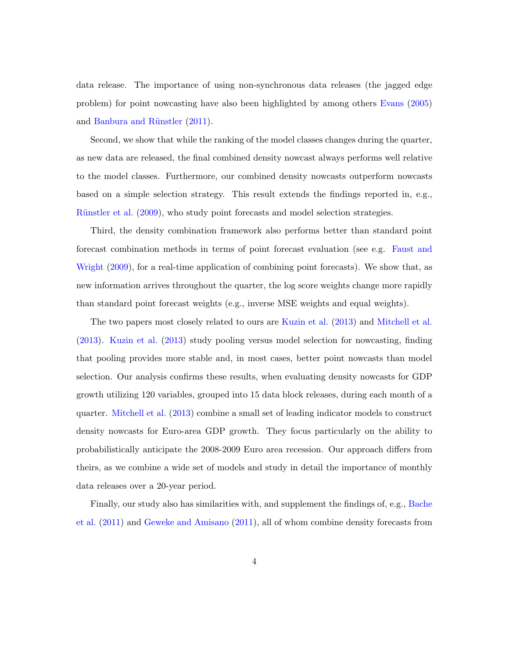data release. The importance of using non-synchronous data releases (the jagged edge problem) for point nowcasting have also been highlighted by among others [Evans](#page-27-0) [\(2005\)](#page-27-0) and Banbura and Rünstler [\(2011\)](#page-26-3).

Second, we show that while the ranking of the model classes changes during the quarter, as new data are released, the final combined density nowcast always performs well relative to the model classes. Furthermore, our combined density nowcasts outperform nowcasts based on a simple selection strategy. This result extends the findings reported in, e.g., Rünstler et al. [\(2009\)](#page-29-2), who study point forecasts and model selection strategies.

Third, the density combination framework also performs better than standard point forecast combination methods in terms of point forecast evaluation (see e.g. [Faust and](#page-28-4) [Wright](#page-28-4) [\(2009\)](#page-28-4), for a real-time application of combining point forecasts). We show that, as new information arrives throughout the quarter, the log score weights change more rapidly than standard point forecast weights (e.g., inverse MSE weights and equal weights).

The two papers most closely related to ours are [Kuzin et al.](#page-29-3) [\(2013\)](#page-29-3) and [Mitchell et al.](#page-29-4) [\(2013\)](#page-29-4). [Kuzin et al.](#page-29-3) [\(2013\)](#page-29-3) study pooling versus model selection for nowcasting, finding that pooling provides more stable and, in most cases, better point nowcasts than model selection. Our analysis confirms these results, when evaluating density nowcasts for GDP growth utilizing 120 variables, grouped into 15 data block releases, during each month of a quarter. [Mitchell et al.](#page-29-4) [\(2013\)](#page-29-4) combine a small set of leading indicator models to construct density nowcasts for Euro-area GDP growth. They focus particularly on the ability to probabilistically anticipate the 2008-2009 Euro area recession. Our approach differs from theirs, as we combine a wide set of models and study in detail the importance of monthly data releases over a 20-year period.

Finally, our study also has similarities with, and supplement the findings of, e.g., [Bache](#page-26-4) [et al.](#page-26-4) [\(2011\)](#page-26-4) and [Geweke and Amisano](#page-28-5) [\(2011\)](#page-28-5), all of whom combine density forecasts from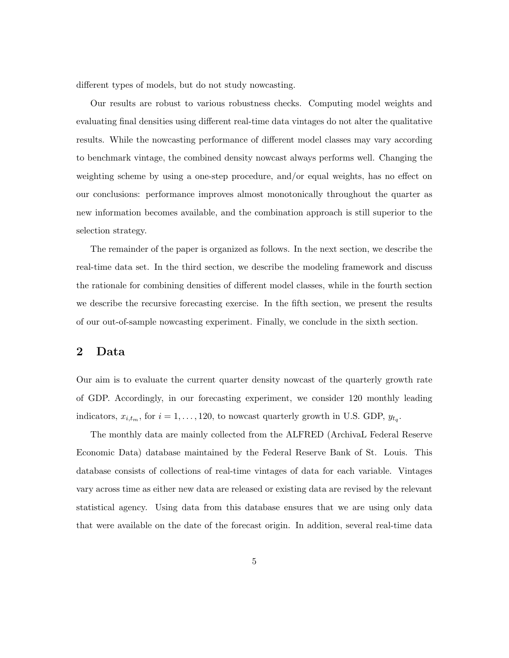different types of models, but do not study nowcasting.

Our results are robust to various robustness checks. Computing model weights and evaluating final densities using different real-time data vintages do not alter the qualitative results. While the nowcasting performance of different model classes may vary according to benchmark vintage, the combined density nowcast always performs well. Changing the weighting scheme by using a one-step procedure, and/or equal weights, has no effect on our conclusions: performance improves almost monotonically throughout the quarter as new information becomes available, and the combination approach is still superior to the selection strategy.

The remainder of the paper is organized as follows. In the next section, we describe the real-time data set. In the third section, we describe the modeling framework and discuss the rationale for combining densities of different model classes, while in the fourth section we describe the recursive forecasting exercise. In the fifth section, we present the results of our out-of-sample nowcasting experiment. Finally, we conclude in the sixth section.

# 2 Data

Our aim is to evaluate the current quarter density nowcast of the quarterly growth rate of GDP. Accordingly, in our forecasting experiment, we consider 120 monthly leading indicators,  $x_{i,t_m}$ , for  $i = 1, \ldots, 120$ , to nowcast quarterly growth in U.S. GDP,  $y_{t_q}$ .

The monthly data are mainly collected from the ALFRED (ArchivaL Federal Reserve Economic Data) database maintained by the Federal Reserve Bank of St. Louis. This database consists of collections of real-time vintages of data for each variable. Vintages vary across time as either new data are released or existing data are revised by the relevant statistical agency. Using data from this database ensures that we are using only data that were available on the date of the forecast origin. In addition, several real-time data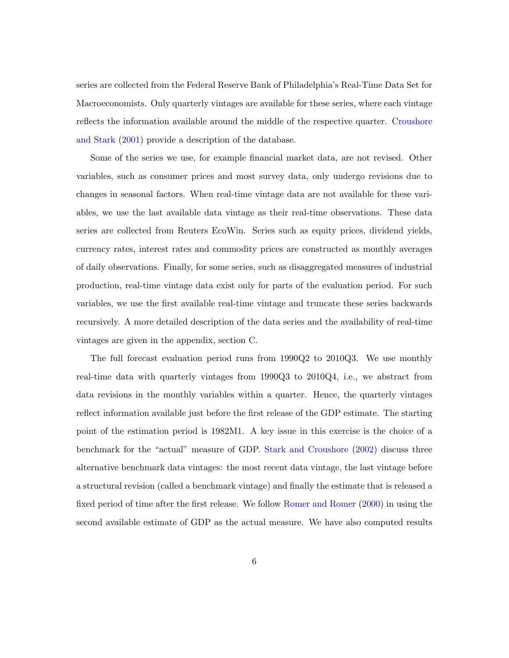series are collected from the Federal Reserve Bank of Philadelphia's Real-Time Data Set for Macroeconomists. Only quarterly vintages are available for these series, where each vintage reflects the information available around the middle of the respective quarter. [Croushore](#page-27-1) [and Stark](#page-27-1) [\(2001\)](#page-27-1) provide a description of the database.

Some of the series we use, for example financial market data, are not revised. Other variables, such as consumer prices and most survey data, only undergo revisions due to changes in seasonal factors. When real-time vintage data are not available for these variables, we use the last available data vintage as their real-time observations. These data series are collected from Reuters EcoWin. Series such as equity prices, dividend yields, currency rates, interest rates and commodity prices are constructed as monthly averages of daily observations. Finally, for some series, such as disaggregated measures of industrial production, real-time vintage data exist only for parts of the evaluation period. For such variables, we use the first available real-time vintage and truncate these series backwards recursively. A more detailed description of the data series and the availability of real-time vintages are given in the appendix, section [C.](#page-38-0)

The full forecast evaluation period runs from 1990Q2 to 2010Q3. We use monthly real-time data with quarterly vintages from 1990Q3 to 2010Q4, i.e., we abstract from data revisions in the monthly variables within a quarter. Hence, the quarterly vintages reflect information available just before the first release of the GDP estimate. The starting point of the estimation period is 1982M1. A key issue in this exercise is the choice of a benchmark for the "actual" measure of GDP. [Stark and Croushore](#page-30-1) [\(2002\)](#page-30-1) discuss three alternative benchmark data vintages: the most recent data vintage, the last vintage before a structural revision (called a benchmark vintage) and finally the estimate that is released a fixed period of time after the first release. We follow [Romer and Romer](#page-30-2) [\(2000\)](#page-30-2) in using the second available estimate of GDP as the actual measure. We have also computed results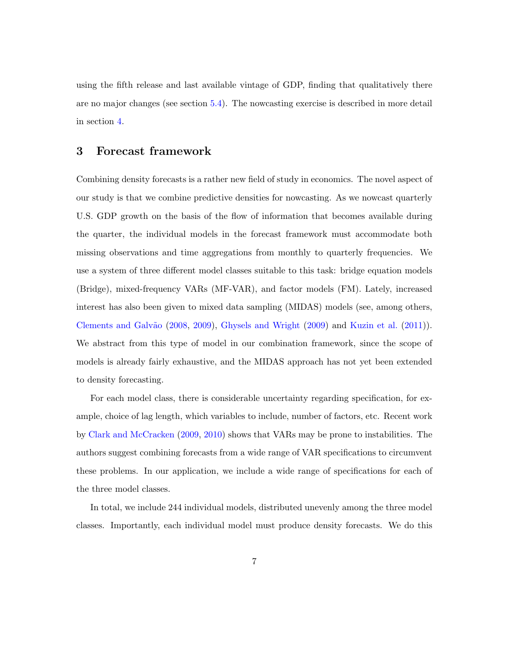using the fifth release and last available vintage of GDP, finding that qualitatively there are no major changes (see section [5.4\)](#page-20-0). The nowcasting exercise is described in more detail in section [4.](#page-12-0)

# 3 Forecast framework

Combining density forecasts is a rather new field of study in economics. The novel aspect of our study is that we combine predictive densities for nowcasting. As we nowcast quarterly U.S. GDP growth on the basis of the flow of information that becomes available during the quarter, the individual models in the forecast framework must accommodate both missing observations and time aggregations from monthly to quarterly frequencies. We use a system of three different model classes suitable to this task: bridge equation models (Bridge), mixed-frequency VARs (MF-VAR), and factor models (FM). Lately, increased interest has also been given to mixed data sampling (MIDAS) models (see, among others, Clements and Galvão [\(2008,](#page-27-2) [2009\)](#page-27-3), [Ghysels and Wright](#page-28-6) [\(2009\)](#page-28-6) and [Kuzin et al.](#page-29-0) [\(2011\)](#page-29-0). We abstract from this type of model in our combination framework, since the scope of models is already fairly exhaustive, and the MIDAS approach has not yet been extended to density forecasting.

For each model class, there is considerable uncertainty regarding specification, for example, choice of lag length, which variables to include, number of factors, etc. Recent work by [Clark and McCracken](#page-27-4) [\(2009,](#page-27-4) [2010\)](#page-27-5) shows that VARs may be prone to instabilities. The authors suggest combining forecasts from a wide range of VAR specifications to circumvent these problems. In our application, we include a wide range of specifications for each of the three model classes.

In total, we include 244 individual models, distributed unevenly among the three model classes. Importantly, each individual model must produce density forecasts. We do this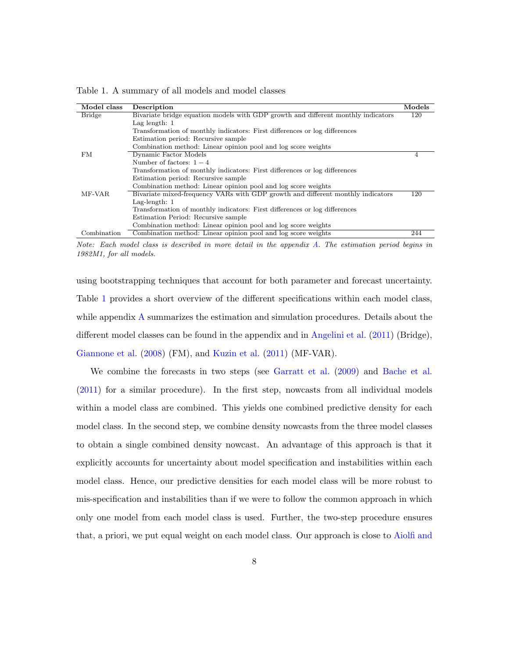<span id="page-8-0"></span>Table 1. A summary of all models and model classes

| Model class   | Description                                                                       | Models |
|---------------|-----------------------------------------------------------------------------------|--------|
| <b>Bridge</b> | Bivariate bridge equation models with GDP growth and different monthly indicators | 120    |
|               | Lag length: $1$                                                                   |        |
|               | Transformation of monthly indicators: First differences or log differences        |        |
|               | Estimation period. Recursive sample                                               |        |
|               | Combination method: Linear opinion pool and log score weights                     |        |
| FM            | Dynamic Factor Models                                                             | 4      |
|               | Number of factors: $1-4$                                                          |        |
|               | Transformation of monthly indicators: First differences or log differences        |        |
|               | Estimation period. Recursive sample                                               |        |
|               | Combination method: Linear opinion pool and log score weights                     |        |
| MF-VAR        | Bivariate mixed-frequency VARs with GDP growth and different monthly indicators   | 120    |
|               | Lag-length: $1$                                                                   |        |
|               | Transformation of monthly indicators: First differences or log differences        |        |
|               | Estimation Period: Recursive sample                                               |        |
|               | Combination method: Linear opinion pool and log score weights                     |        |
| Combination   | Combination method: Linear opinion pool and log score weights                     | 244    |

Note: Each model class is described in more detail in the appendix [A.](#page-31-0) The estimation period begins in 1982M1, for all models.

using bootstrapping techniques that account for both parameter and forecast uncertainty. Table [1](#page-8-0) provides a short overview of the different specifications within each model class, while appendix [A](#page-31-0) summarizes the estimation and simulation procedures. Details about the different model classes can be found in the appendix and in [Angelini et al.](#page-26-2) [\(2011\)](#page-26-2) (Bridge), [Giannone et al.](#page-28-0) [\(2008\)](#page-28-0) (FM), and [Kuzin et al.](#page-29-0) [\(2011\)](#page-29-0) (MF-VAR).

We combine the forecasts in two steps (see [Garratt et al.](#page-28-7) [\(2009\)](#page-28-7) and [Bache et al.](#page-26-4) [\(2011\)](#page-26-4) for a similar procedure). In the first step, nowcasts from all individual models within a model class are combined. This yields one combined predictive density for each model class. In the second step, we combine density nowcasts from the three model classes to obtain a single combined density nowcast. An advantage of this approach is that it explicitly accounts for uncertainty about model specification and instabilities within each model class. Hence, our predictive densities for each model class will be more robust to mis-specification and instabilities than if we were to follow the common approach in which only one model from each model class is used. Further, the two-step procedure ensures that, a priori, we put equal weight on each model class. Our approach is close to [Aiolfi and](#page-26-5)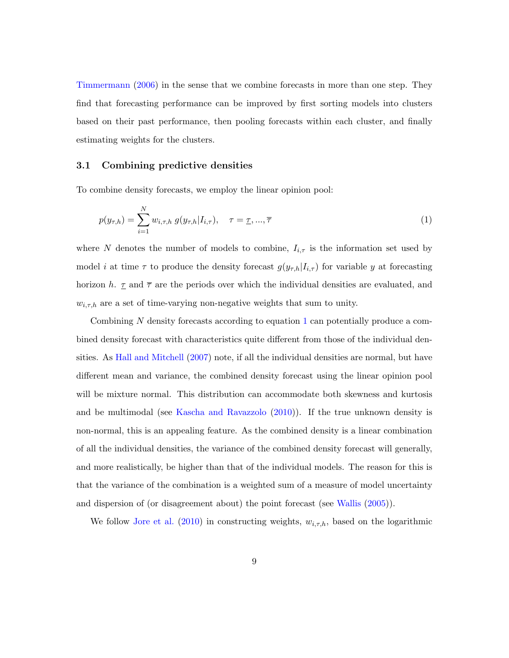[Timmermann](#page-26-5) [\(2006\)](#page-26-5) in the sense that we combine forecasts in more than one step. They find that forecasting performance can be improved by first sorting models into clusters based on their past performance, then pooling forecasts within each cluster, and finally estimating weights for the clusters.

#### <span id="page-9-1"></span>3.1 Combining predictive densities

To combine density forecasts, we employ the linear opinion pool:

<span id="page-9-0"></span>
$$
p(y_{\tau,h}) = \sum_{i=1}^{N} w_{i,\tau,h} \ g(y_{\tau,h}|I_{i,\tau}), \quad \tau = \underline{\tau}, ..., \overline{\tau}
$$
 (1)

where N denotes the number of models to combine,  $I_{i,\tau}$  is the information set used by model *i* at time  $\tau$  to produce the density forecast  $g(y_{\tau,h}|I_{i,\tau})$  for variable y at forecasting horizon h.  $\underline{\tau}$  and  $\overline{\tau}$  are the periods over which the individual densities are evaluated, and  $w_{i,\tau,h}$  are a set of time-varying non-negative weights that sum to unity.

Combining N density forecasts according to equation [1](#page-9-0) can potentially produce a combined density forecast with characteristics quite different from those of the individual densities. As [Hall and Mitchell](#page-28-2) [\(2007\)](#page-28-2) note, if all the individual densities are normal, but have different mean and variance, the combined density forecast using the linear opinion pool will be mixture normal. This distribution can accommodate both skewness and kurtosis and be multimodal (see [Kascha and Ravazzolo](#page-29-5)  $(2010)$ ). If the true unknown density is non-normal, this is an appealing feature. As the combined density is a linear combination of all the individual densities, the variance of the combined density forecast will generally, and more realistically, be higher than that of the individual models. The reason for this is that the variance of the combination is a weighted sum of a measure of model uncertainty and dispersion of (or disagreement about) the point forecast (see [Wallis](#page-30-3) [\(2005\)](#page-30-3)).

We follow [Jore et al.](#page-28-3) [\(2010\)](#page-28-3) in constructing weights,  $w_{i,\tau,h}$ , based on the logarithmic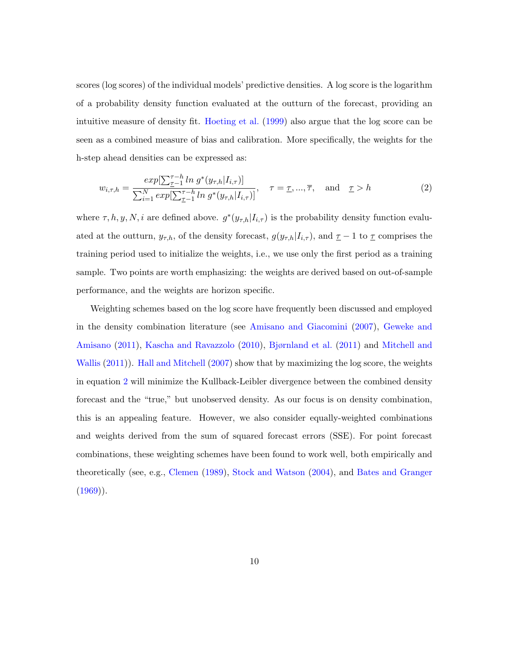scores (log scores) of the individual models' predictive densities. A log score is the logarithm of a probability density function evaluated at the outturn of the forecast, providing an intuitive measure of density fit. [Hoeting et al.](#page-28-8) [\(1999\)](#page-28-8) also argue that the log score can be seen as a combined measure of bias and calibration. More specifically, the weights for the h-step ahead densities can be expressed as:

<span id="page-10-0"></span>
$$
w_{i,\tau,h} = \frac{\exp[\sum_{\tau=1}^{\tau-h} \ln g^*(y_{\tau,h}|I_{i,\tau})]}{\sum_{i=1}^N \exp[\sum_{\tau=1}^{\tau-h} \ln g^*(y_{\tau,h}|I_{i,\tau})]}, \quad \tau = \underline{\tau}, ..., \overline{\tau}, \text{ and } \underline{\tau} > h
$$
 (2)

where  $\tau, h, y, N, i$  are defined above.  $g^*(y_{\tau,h}|I_{i,\tau})$  is the probability density function evaluated at the outturn,  $y_{\tau,h}$ , of the density forecast,  $g(y_{\tau,h}|I_{i,\tau})$ , and  $\underline{\tau} - 1$  to  $\underline{\tau}$  comprises the training period used to initialize the weights, i.e., we use only the first period as a training sample. Two points are worth emphasizing: the weights are derived based on out-of-sample performance, and the weights are horizon specific.

Weighting schemes based on the log score have frequently been discussed and employed in the density combination literature (see [Amisano and Giacomini](#page-26-6) [\(2007\)](#page-26-6), [Geweke and](#page-28-5) [Amisano](#page-28-5) [\(2011\)](#page-28-5), [Kascha and Ravazzolo](#page-29-5) [\(2010\)](#page-29-5), [Bjørnland et al.](#page-27-6) [\(2011\)](#page-27-6) and [Mitchell and](#page-29-6) [Wallis](#page-29-6) [\(2011\)](#page-29-6)). [Hall and Mitchell](#page-28-2) [\(2007\)](#page-28-2) show that by maximizing the log score, the weights in equation [2](#page-10-0) will minimize the Kullback-Leibler divergence between the combined density forecast and the "true," but unobserved density. As our focus is on density combination, this is an appealing feature. However, we also consider equally-weighted combinations and weights derived from the sum of squared forecast errors (SSE). For point forecast combinations, these weighting schemes have been found to work well, both empirically and theoretically (see, e.g., [Clemen](#page-27-7) [\(1989\)](#page-27-7), [Stock and Watson](#page-30-4) [\(2004\)](#page-30-4), and [Bates and Granger](#page-26-1)  $(1969)$ .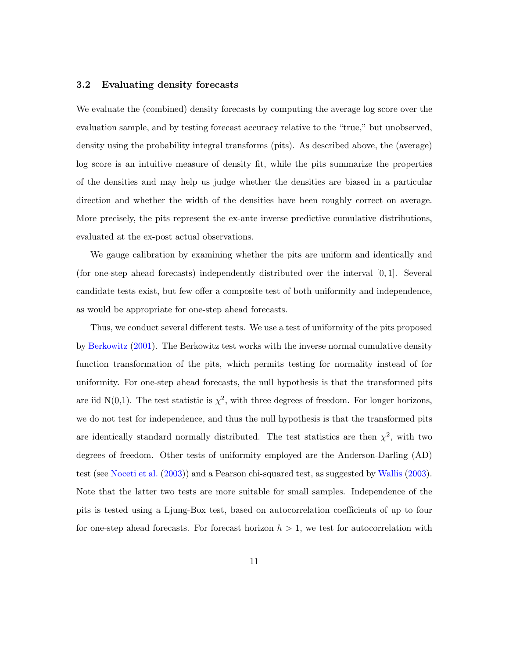#### <span id="page-11-0"></span>3.2 Evaluating density forecasts

We evaluate the (combined) density forecasts by computing the average log score over the evaluation sample, and by testing forecast accuracy relative to the "true," but unobserved, density using the probability integral transforms (pits). As described above, the (average) log score is an intuitive measure of density fit, while the pits summarize the properties of the densities and may help us judge whether the densities are biased in a particular direction and whether the width of the densities have been roughly correct on average. More precisely, the pits represent the ex-ante inverse predictive cumulative distributions, evaluated at the ex-post actual observations.

We gauge calibration by examining whether the pits are uniform and identically and (for one-step ahead forecasts) independently distributed over the interval [0, 1]. Several candidate tests exist, but few offer a composite test of both uniformity and independence, as would be appropriate for one-step ahead forecasts.

Thus, we conduct several different tests. We use a test of uniformity of the pits proposed by [Berkowitz](#page-26-7) [\(2001\)](#page-26-7). The Berkowitz test works with the inverse normal cumulative density function transformation of the pits, which permits testing for normality instead of for uniformity. For one-step ahead forecasts, the null hypothesis is that the transformed pits are iid N(0,1). The test statistic is  $\chi^2$ , with three degrees of freedom. For longer horizons, we do not test for independence, and thus the null hypothesis is that the transformed pits are identically standard normally distributed. The test statistics are then  $\chi^2$ , with two degrees of freedom. Other tests of uniformity employed are the Anderson-Darling (AD) test (see [Noceti et al.](#page-29-7) [\(2003\)](#page-29-7)) and a Pearson chi-squared test, as suggested by [Wallis](#page-30-5) [\(2003\)](#page-30-5). Note that the latter two tests are more suitable for small samples. Independence of the pits is tested using a Ljung-Box test, based on autocorrelation coefficients of up to four for one-step ahead forecasts. For forecast horizon  $h > 1$ , we test for autocorrelation with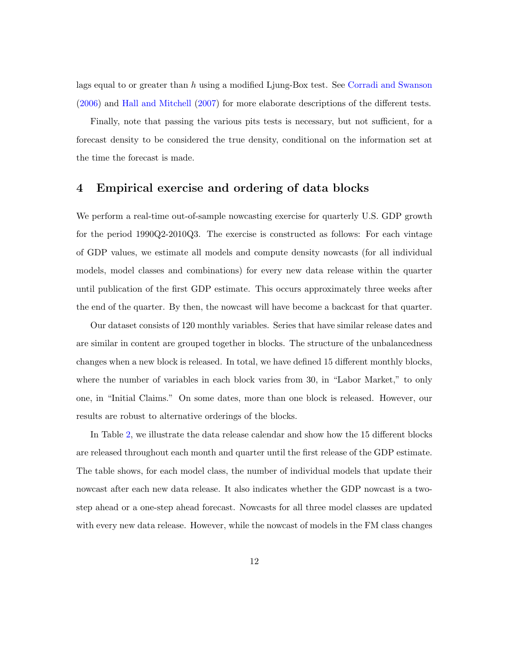lags equal to or greater than h using a modified Ljung-Box test. See [Corradi and Swanson](#page-27-8) [\(2006\)](#page-27-8) and [Hall and Mitchell](#page-28-2) [\(2007\)](#page-28-2) for more elaborate descriptions of the different tests.

Finally, note that passing the various pits tests is necessary, but not sufficient, for a forecast density to be considered the true density, conditional on the information set at the time the forecast is made.

# <span id="page-12-0"></span>4 Empirical exercise and ordering of data blocks

We perform a real-time out-of-sample nowcasting exercise for quarterly U.S. GDP growth for the period 1990Q2-2010Q3. The exercise is constructed as follows: For each vintage of GDP values, we estimate all models and compute density nowcasts (for all individual models, model classes and combinations) for every new data release within the quarter until publication of the first GDP estimate. This occurs approximately three weeks after the end of the quarter. By then, the nowcast will have become a backcast for that quarter.

Our dataset consists of 120 monthly variables. Series that have similar release dates and are similar in content are grouped together in blocks. The structure of the unbalancedness changes when a new block is released. In total, we have defined 15 different monthly blocks, where the number of variables in each block varies from 30, in "Labor Market," to only one, in "Initial Claims." On some dates, more than one block is released. However, our results are robust to alternative orderings of the blocks.

In Table [2,](#page-13-0) we illustrate the data release calendar and show how the 15 different blocks are released throughout each month and quarter until the first release of the GDP estimate. The table shows, for each model class, the number of individual models that update their nowcast after each new data release. It also indicates whether the GDP nowcast is a twostep ahead or a one-step ahead forecast. Nowcasts for all three model classes are updated with every new data release. However, while the nowcast of models in the FM class changes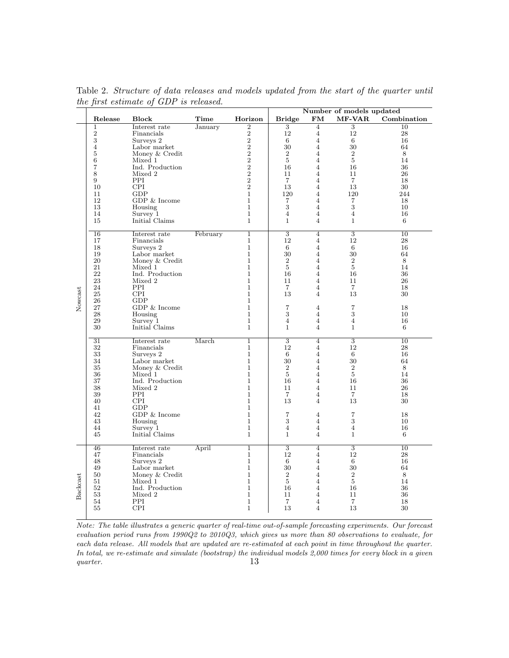|          |                     |                            |          |                              | Number of models updated  |                                  |                      |             |
|----------|---------------------|----------------------------|----------|------------------------------|---------------------------|----------------------------------|----------------------|-------------|
|          | Release             | <b>Block</b>               | Time     | Horizon                      | <b>Bridge</b>             | FM                               | <b>MF-VAR</b>        | Combination |
|          | $\mathbf{1}$        | Interest rate              | January  | $\,2$                        | $\overline{3}$            | $\overline{4}$                   | $\overline{3}$       | 10          |
|          | $\sqrt{2}$          | Financials                 |          | $\overline{\mathbf{2}}$      | 12                        | $\overline{4}$                   | 12                   | $\sqrt{28}$ |
|          | 3<br>$\overline{4}$ | Surveys 2<br>Labor market  |          | $\frac{2}{2}$                | 6<br>30                   | $\overline{4}$<br>$\overline{4}$ | 6<br>30              | 16<br>64    |
|          | 5                   | Money & Credit             |          | $\overline{2}$               | $\overline{2}$            | $\overline{4}$                   | $\overline{2}$       | 8           |
|          | 6                   | Mixed 1                    |          | $\overline{2}$               | 5                         | $\overline{4}$                   | 5                    | 14          |
|          | $\overline{7}$      | Ind. Production            |          | $\overline{2}$               | 16                        | $\overline{4}$                   | 16                   | 36          |
|          | 8                   | Mixed 2                    |          | $\overline{2}$               | 11                        | 4                                | 11                   | 26          |
|          | 9                   | PPI                        |          | $\overline{2}$               | $\overline{7}$            | $\overline{4}$                   | $\overline{7}$       | 18          |
|          | 10                  | <b>CPI</b>                 |          | $\overline{2}$               | 13                        | 4                                | 13                   | 30          |
|          | 11<br>12            | GDP<br>$GDP \& Income$     |          | $\mathbf{1}$<br>$\mathbf{1}$ | 120<br>$\overline{7}$     | $\overline{4}$<br>4              | 120<br>7             | 244<br>18   |
|          | 13                  | Housing                    |          | $\mathbf{1}$                 | 3                         | $\overline{4}$                   | 3                    | 10          |
|          | 14                  | Survey 1                   |          | $\mathbf{1}$                 | $\overline{4}$            | $\overline{4}$                   | $\overline{4}$       | 16          |
|          | 15                  | Initial Claims             |          | $\mathbf{1}$                 | $\mathbf{1}$              | $\overline{4}$                   | $\mathbf{1}$         | 6           |
|          |                     |                            |          |                              |                           |                                  |                      |             |
|          | 16                  | Interest rate              | February | $\mathbf 1$                  | $\overline{3}$            | $\overline{4}$                   | $\overline{3}$       | 10          |
|          | 17                  | Financials                 |          | $\mathbf{1}$                 | 12                        | $\overline{4}$                   | 12                   | 28          |
|          | 18<br>19            | Surveys 2<br>Labor market  |          | $\mathbf{1}$<br>$\mathbf{1}$ | 6<br>30                   | $\overline{4}$<br>$\overline{4}$ | 6<br>30              | 16<br>64    |
|          | 20                  | Money & Credit             |          | $\mathbf{1}$                 | 2                         | 4                                | $\overline{2}$       | 8           |
|          | 21                  | Mixed 1                    |          | 1                            | 5                         | 4                                | 5                    | 14          |
|          | 22                  | Ind. Production            |          | 1                            | 16                        | $\overline{4}$                   | 16                   | 36          |
|          | 23                  | Mixed 2                    |          | 1                            | 11                        | $\overline{4}$                   | 11                   | 26          |
|          | 24                  | PPI                        |          | $\mathbf 1$                  | $\overline{7}$            | $\overline{4}$                   | $\overline{7}$       | 18          |
| Nowcast  | 25<br>$\sqrt{26}$   | <b>CPI</b><br>GDP          |          | 1<br>1                       | 13                        | $\overline{4}$                   | 13                   | 30          |
|          | 27                  | $GDP \& Income$            |          | $\mathbf{1}$                 | $\overline{7}$            | 4                                | $\overline{7}$       | 18          |
|          | 28                  | Housing                    |          | 1                            | 3                         | $\overline{4}$                   | 3                    | 10          |
|          | 29                  | Survey 1                   |          | $\mathbf{1}$                 | $\overline{4}$            | $\overline{4}$                   | $\overline{4}$       | 16          |
|          | 30                  | Initial Claims             |          | $\mathbf{1}$                 | $\mathbf{1}$              | $\overline{4}$                   | $\mathbf{1}$         | 6           |
|          | 31                  | Interest rate              | March    | $\mathbf{1}$                 | 3                         | $\overline{4}$                   | $\overline{3}$       | 10          |
|          | 32                  | Financials                 |          | $\mathbf{1}$                 | 12                        | $\overline{4}$                   | 12                   | $\sqrt{28}$ |
|          | $33\,$              | Surveys 2                  |          | $\mathbf{1}$                 | 6                         | $\overline{4}$                   | 6                    | 16          |
|          | 34                  | Labor market               |          | $\mathbf{1}$                 | 30                        | $\overline{4}$                   | 30                   | 64          |
|          | 35                  | Money & Credit             |          | $\mathbf{1}$                 | $\boldsymbol{2}$          | $\overline{4}$                   | $\overline{2}$       | 8           |
|          | 36                  | Mixed 1                    |          | $\mathbf{1}$                 | $\overline{5}$            | $\overline{4}$                   | $\overline{5}$       | 14          |
|          | 37<br>38            | Ind. Production<br>Mixed 2 |          | $\mathbf{1}$<br>1            | 16<br>11                  | $\overline{4}$<br>$\overline{4}$ | 16<br>11             | 36<br>26    |
|          | 39                  | PPI                        |          | 1                            | $\overline{7}$            | $\overline{4}$                   | $\overline{7}$       | 18          |
|          | 40                  | <b>CPI</b>                 |          | 1                            | 13                        | $\overline{4}$                   | 13                   | 30          |
|          | 41                  | GDP                        |          | 1                            |                           |                                  |                      |             |
|          | 42                  | $GDP \& Income$            |          | $\mathbf{1}$                 | $\overline{7}$            | 4                                | $\overline{7}$       | 18          |
|          | 43<br>44            | Housing<br>Survey 1        |          | 1<br>1                       | 3<br>$\overline{4}$       | $\overline{4}$<br>$\overline{4}$ | 3<br>$\overline{4}$  | 10<br>16    |
|          | 45                  | Initial Claims             |          | $\mathbf{1}$                 | $\mathbf{1}$              | $\overline{4}$                   | $\mathbf{1}$         | 6           |
|          |                     |                            |          |                              |                           |                                  |                      |             |
|          | 46                  | Interest rate              | April    | $\mathbf 1$                  | $\overline{\overline{3}}$ | 4                                | $\overline{3}$       | 10          |
| Backcast | 47                  | Financials                 |          | $\mathbf 1$                  | 12                        | $\overline{4}$                   | 12                   | 28          |
|          | 48<br>49            | Surveys 2<br>Labor market  |          | $\mathbf{1}$<br>$\mathbf{1}$ | 6<br>30                   | $\overline{4}$<br>$\overline{4}$ | 6<br>30              | 16<br>64    |
|          | 50                  | Money & Credit             |          | $\mathbf{1}$                 | $\overline{2}$            | $\overline{4}$                   | $\sqrt{2}$           | 8           |
|          | 51                  | Mixed 1                    |          | $\mathbf{1}$                 | $\overline{5}$            | $\overline{4}$                   | $\overline{5}$       | 14          |
|          | 52                  | Ind. Production            |          | $\mathbf{1}$                 | 16                        | $\overline{4}$                   | 16                   | 36          |
|          | 53                  | Mixed 2                    |          | $\mathbf{1}$                 | 11                        | $\overline{4}$                   | 11                   | 36          |
|          | 54<br>55            | PPI<br><b>CPI</b>          |          | $\mathbf{1}$<br>1            | $\overline{7}$<br>13      | $\overline{4}$<br>$\overline{4}$ | $\overline{7}$<br>13 | 18<br>30    |
|          |                     |                            |          |                              |                           |                                  |                      |             |

<span id="page-13-0"></span>Table 2. Structure of data releases and models updated from the start of the quarter until the first estimate of GDP is released.

Note: The table illustrates a generic quarter of real-time out-of-sample forecasting experiments. Our forecast evaluation period runs from 1990Q2 to 2010Q3, which gives us more than 80 observations to evaluate, for each data release. All models that are updated are re-estimated at each point in time throughout the quarter. In total, we re-estimate and simulate (bootstrap) the individual models 2,000 times for every block in a given quarter. 13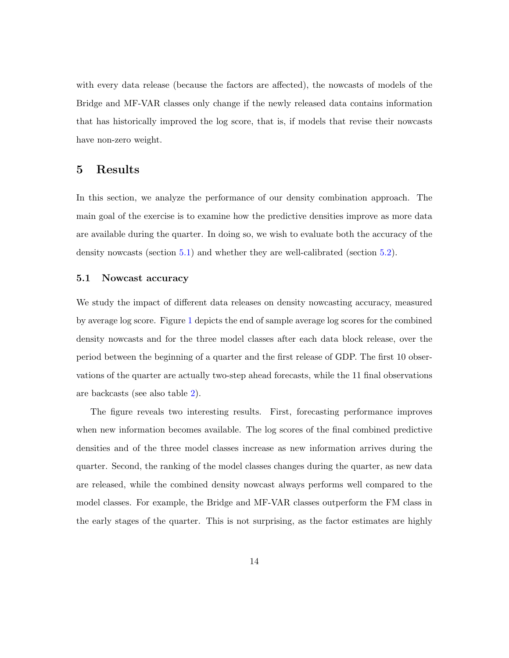with every data release (because the factors are affected), the nowcasts of models of the Bridge and MF-VAR classes only change if the newly released data contains information that has historically improved the log score, that is, if models that revise their nowcasts have non-zero weight.

# 5 Results

In this section, we analyze the performance of our density combination approach. The main goal of the exercise is to examine how the predictive densities improve as more data are available during the quarter. In doing so, we wish to evaluate both the accuracy of the density nowcasts (section [5.1\)](#page-14-0) and whether they are well-calibrated (section [5.2\)](#page-17-0).

## <span id="page-14-0"></span>5.1 Nowcast accuracy

We study the impact of different data releases on density nowcasting accuracy, measured by average log score. Figure [1](#page-15-0) depicts the end of sample average log scores for the combined density nowcasts and for the three model classes after each data block release, over the period between the beginning of a quarter and the first release of GDP. The first 10 observations of the quarter are actually two-step ahead forecasts, while the 11 final observations are backcasts (see also table [2\)](#page-13-0).

The figure reveals two interesting results. First, forecasting performance improves when new information becomes available. The log scores of the final combined predictive densities and of the three model classes increase as new information arrives during the quarter. Second, the ranking of the model classes changes during the quarter, as new data are released, while the combined density nowcast always performs well compared to the model classes. For example, the Bridge and MF-VAR classes outperform the FM class in the early stages of the quarter. This is not surprising, as the factor estimates are highly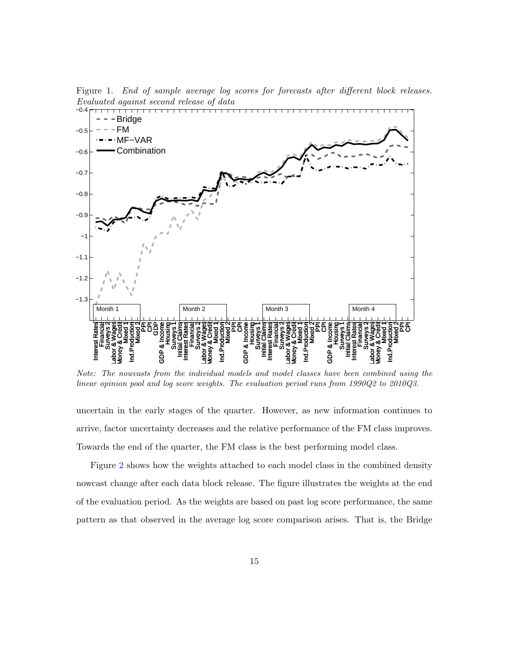<span id="page-15-0"></span>Figure 1. End of sample average log scores for forecasts after different block releases.  $Evaluate d\ against\ second\ release\ of\ data$ 



Note: The nowcasts from the individual models and model classes have been combined using the linear opinion pool and log score weights. The evaluation period runs from 1990Q2 to 2010Q3.

uncertain in the early stages of the quarter. However, as new information continues to arrive, factor uncertainty decreases and the relative performance of the FM class improves. Towards the end of the quarter, the FM class is the best performing model class.

Figure [2](#page-16-0) shows how the weights attached to each model class in the combined density nowcast change after each data block release. The figure illustrates the weights at the end of the evaluation period. As the weights are based on past log score performance, the same pattern as that observed in the average log score comparison arises. That is, the Bridge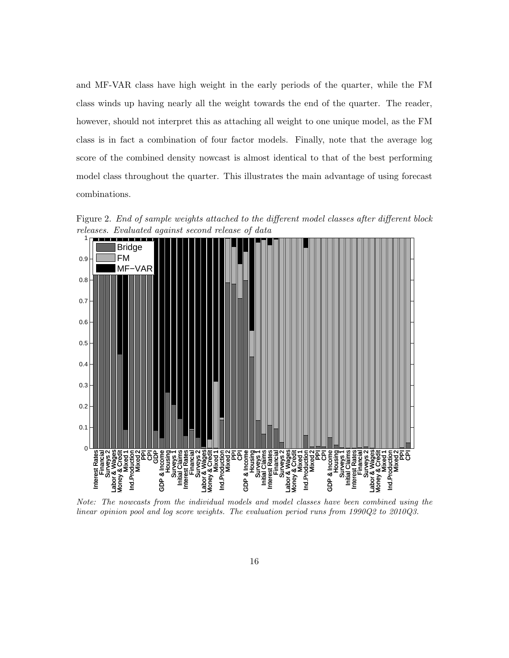and MF-VAR class have high weight in the early periods of the quarter, while the FM class winds up having nearly all the weight towards the end of the quarter. The reader, however, should not interpret this as attaching all weight to one unique model, as the FM class is in fact a combination of four factor models. Finally, note that the average log score of the combined density nowcast is almost identical to that of the best performing model class throughout the quarter. This illustrates the main advantage of using forecast combinations.

<span id="page-16-0"></span>Figure 2. End of sample weights attached to the different model classes after different block releases. Evaluated against second release of data



Note: The nowcasts from the individual models and model classes have been combined using the linear opinion pool and log score weights. The evaluation period runs from 1990Q2 to 2010Q3.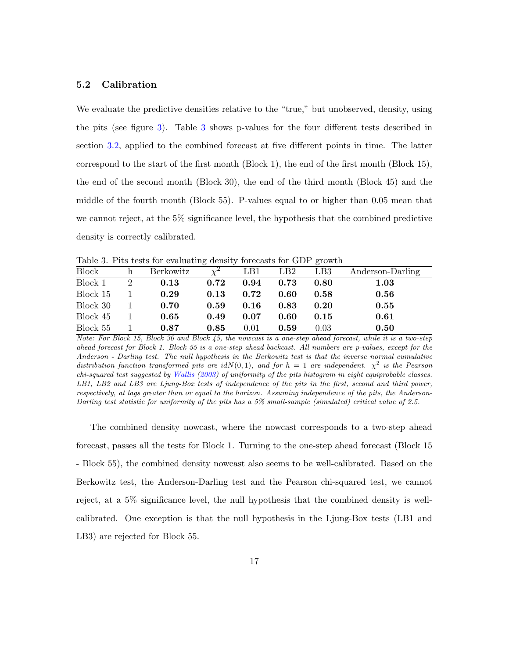### <span id="page-17-0"></span>5.2 Calibration

We evaluate the predictive densities relative to the "true," but unobserved, density, using the pits (see figure [3\)](#page-18-0). Table [3](#page-17-1) shows p-values for the four different tests described in section [3.2,](#page-11-0) applied to the combined forecast at five different points in time. The latter correspond to the start of the first month (Block 1), the end of the first month (Block 15), the end of the second month (Block 30), the end of the third month (Block 45) and the middle of the fourth month (Block 55). P-values equal to or higher than 0.05 mean that we cannot reject, at the 5% significance level, the hypothesis that the combined predictive density is correctly calibrated.

| Table 9. I have result evaluating definity forecasts for GDT growth |                |           |            |      |      |                 |                  |
|---------------------------------------------------------------------|----------------|-----------|------------|------|------|-----------------|------------------|
| Block                                                               | h              | Berkowitz | $\gamma^2$ | LB1  | LB2  | LB <sub>3</sub> | Anderson-Darling |
| Block 1                                                             | $\overline{2}$ | 0.13      | 0.72       | 0.94 | 0.73 | 0.80            | 1.03             |
| Block 15                                                            |                | 0.29      | 0.13       | 0.72 | 0.60 | 0.58            | 0.56             |
| Block 30                                                            |                | 0.70      | 0.59       | 0.16 | 0.83 | 0.20            | 0.55             |
| Block 45                                                            |                | 0.65      | 0.49       | 0.07 | 0.60 | 0.15            | 0.61             |
| Block 55                                                            |                | 0.87      | 0.85       | 0.01 | 0.59 | 0.03            | 0.50             |

<span id="page-17-1"></span>Table 3. Pits tests for evaluating density forecasts for GDP growth

The combined density nowcast, where the nowcast corresponds to a two-step ahead forecast, passes all the tests for Block 1. Turning to the one-step ahead forecast (Block 15 - Block 55), the combined density nowcast also seems to be well-calibrated. Based on the Berkowitz test, the Anderson-Darling test and the Pearson chi-squared test, we cannot reject, at a 5% significance level, the null hypothesis that the combined density is wellcalibrated. One exception is that the null hypothesis in the Ljung-Box tests (LB1 and LB3) are rejected for Block 55.

Note: For Block 15, Block 30 and Block 45, the nowcast is a one-step ahead forecast, while it is a two-step ahead forecast for Block 1. Block 55 is a one-step ahead backcast. All numbers are p-values, except for the Anderson - Darling test. The null hypothesis in the Berkowitz test is that the inverse normal cumulative distribution function transformed pits are  $idN(0,1)$ , and for  $h = 1$  are independent.  $\chi^2$  is the Pearson chi-squared test suggested by [Wallis](#page-30-5) [\(2003\)](#page-30-5) of uniformity of the pits histogram in eight equiprobable classes. LB1, LB2 and LB3 are Ljung-Box tests of independence of the pits in the first, second and third power, respectively, at lags greater than or equal to the horizon. Assuming independence of the pits, the Anderson-Darling test statistic for uniformity of the pits has a 5% small-sample (simulated) critical value of 2.5.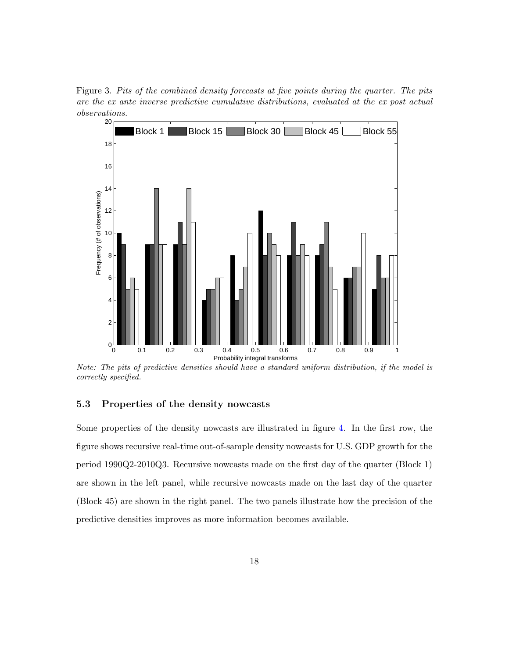<span id="page-18-0"></span>Figure 3. Pits of the combined density forecasts at five points during the quarter. The pits are the ex ante inverse predictive cumulative distributions, evaluated at the ex post actual observations.



Note: The pits of predictive densities should have a standard uniform distribution, if the model is correctly specified.

## 5.3 Properties of the density nowcasts

Some properties of the density nowcasts are illustrated in figure [4.](#page-19-0) In the first row, the figure shows recursive real-time out-of-sample density nowcasts for U.S. GDP growth for the period 1990Q2-2010Q3. Recursive nowcasts made on the first day of the quarter (Block 1) are shown in the left panel, while recursive nowcasts made on the last day of the quarter (Block 45) are shown in the right panel. The two panels illustrate how the precision of the predictive densities improves as more information becomes available.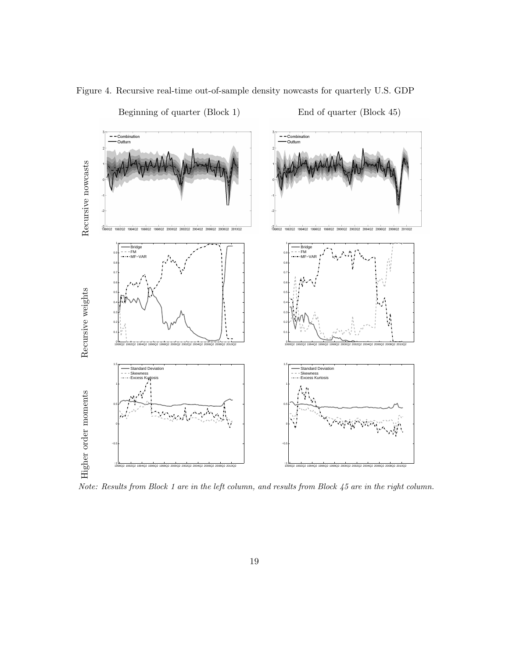

<span id="page-19-0"></span>Beginning of quarter (Block 1) End of quarter (Block 45)

Note: Results from Block 1 are in the left column, and results from Block 45 are in the right column.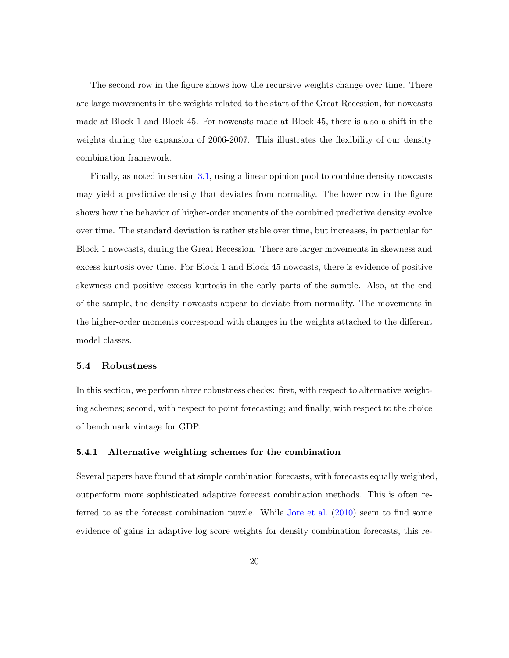The second row in the figure shows how the recursive weights change over time. There are large movements in the weights related to the start of the Great Recession, for nowcasts made at Block 1 and Block 45. For nowcasts made at Block 45, there is also a shift in the weights during the expansion of 2006-2007. This illustrates the flexibility of our density combination framework.

Finally, as noted in section [3.1,](#page-9-1) using a linear opinion pool to combine density nowcasts may yield a predictive density that deviates from normality. The lower row in the figure shows how the behavior of higher-order moments of the combined predictive density evolve over time. The standard deviation is rather stable over time, but increases, in particular for Block 1 nowcasts, during the Great Recession. There are larger movements in skewness and excess kurtosis over time. For Block 1 and Block 45 nowcasts, there is evidence of positive skewness and positive excess kurtosis in the early parts of the sample. Also, at the end of the sample, the density nowcasts appear to deviate from normality. The movements in the higher-order moments correspond with changes in the weights attached to the different model classes.

#### <span id="page-20-0"></span>5.4 Robustness

In this section, we perform three robustness checks: first, with respect to alternative weighting schemes; second, with respect to point forecasting; and finally, with respect to the choice of benchmark vintage for GDP.

### 5.4.1 Alternative weighting schemes for the combination

Several papers have found that simple combination forecasts, with forecasts equally weighted, outperform more sophisticated adaptive forecast combination methods. This is often referred to as the forecast combination puzzle. While [Jore et al.](#page-28-3) [\(2010\)](#page-28-3) seem to find some evidence of gains in adaptive log score weights for density combination forecasts, this re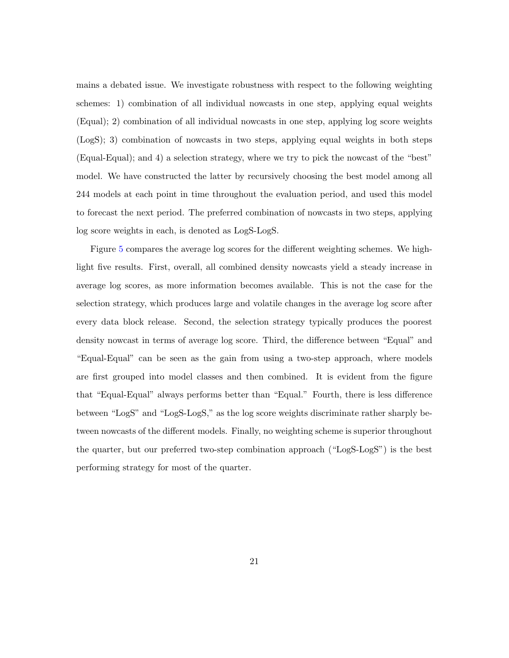mains a debated issue. We investigate robustness with respect to the following weighting schemes: 1) combination of all individual nowcasts in one step, applying equal weights (Equal); 2) combination of all individual nowcasts in one step, applying log score weights (LogS); 3) combination of nowcasts in two steps, applying equal weights in both steps (Equal-Equal); and 4) a selection strategy, where we try to pick the nowcast of the "best" model. We have constructed the latter by recursively choosing the best model among all 244 models at each point in time throughout the evaluation period, and used this model to forecast the next period. The preferred combination of nowcasts in two steps, applying log score weights in each, is denoted as LogS-LogS.

Figure [5](#page-22-0) compares the average log scores for the different weighting schemes. We highlight five results. First, overall, all combined density nowcasts yield a steady increase in average log scores, as more information becomes available. This is not the case for the selection strategy, which produces large and volatile changes in the average log score after every data block release. Second, the selection strategy typically produces the poorest density nowcast in terms of average log score. Third, the difference between "Equal" and "Equal-Equal" can be seen as the gain from using a two-step approach, where models are first grouped into model classes and then combined. It is evident from the figure that "Equal-Equal" always performs better than "Equal." Fourth, there is less difference between "LogS" and "LogS-LogS," as the log score weights discriminate rather sharply between nowcasts of the different models. Finally, no weighting scheme is superior throughout the quarter, but our preferred two-step combination approach ("LogS-LogS") is the best performing strategy for most of the quarter.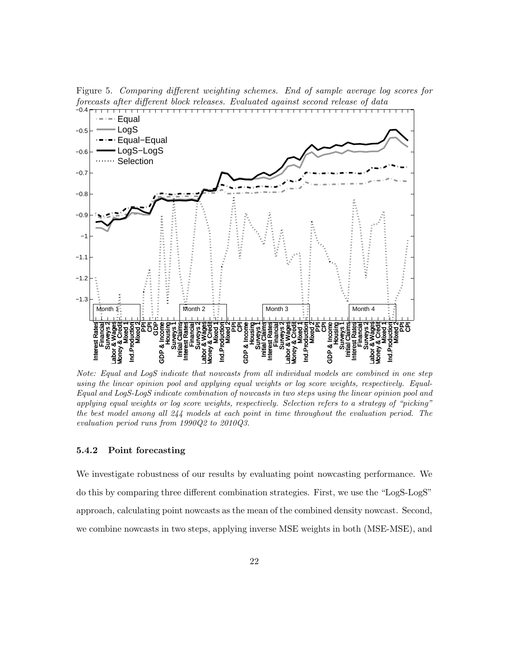<span id="page-22-0"></span>Figure 5. Comparing different weighting schemes. End of sample average log scores for forecasts after different block releases. Evaluated against second release of data



Note: Equal and LogS indicate that nowcasts from all individual models are combined in one step using the linear opinion pool and applying equal weights or log score weights, respectively. Equal-Equal and LogS-LogS indicate combination of nowcasts in two steps using the linear opinion pool and applying equal weights or log score weights, respectively. Selection refers to a strategy of "picking" the best model among all 244 models at each point in time throughout the evaluation period. The evaluation period runs from 1990Q2 to 2010Q3.

### 5.4.2 Point forecasting

We investigate robustness of our results by evaluating point nowcasting performance. We do this by comparing three different combination strategies. First, we use the "LogS-LogS" approach, calculating point nowcasts as the mean of the combined density nowcast. Second, we combine nowcasts in two steps, applying inverse MSE weights in both (MSE-MSE), and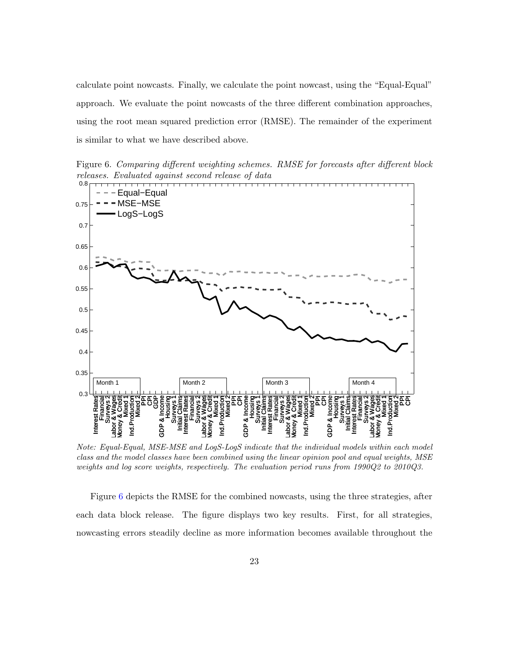calculate point nowcasts. Finally, we calculate the point nowcast, using the "Equal-Equal" approach. We evaluate the point nowcasts of the three different combination approaches, using the root mean squared prediction error (RMSE). The remainder of the experiment is similar to what we have described above.

<span id="page-23-0"></span>Figure 6. Comparing different weighting schemes. RMSE for forecasts after different block releases. Evaluated against second release of data



Note: Equal-Equal, MSE-MSE and LogS-LogS indicate that the individual models within each model class and the model classes have been combined using the linear opinion pool and equal weights, MSE weights and log score weights, respectively. The evaluation period runs from 1990Q2 to 2010Q3.

Figure [6](#page-23-0) depicts the RMSE for the combined nowcasts, using the three strategies, after each data block release. The figure displays two key results. First, for all strategies, nowcasting errors steadily decline as more information becomes available throughout the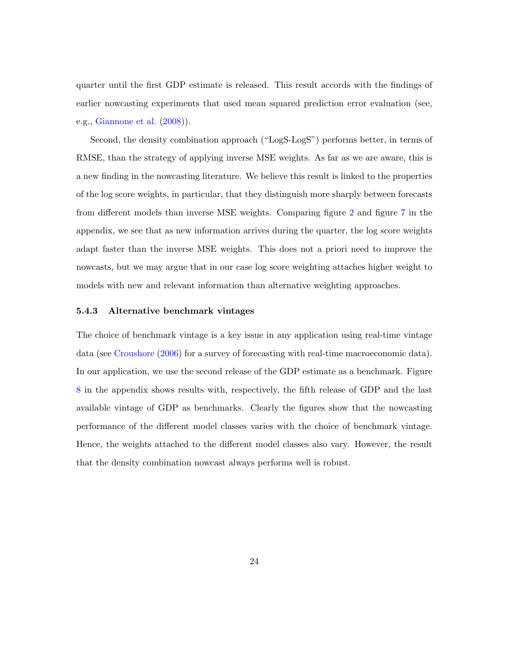quarter until the first GDP estimate is released. This result accords with the findings of earlier nowcasting experiments that used mean squared prediction error evaluation (see, e.g., [Giannone et al.](#page-28-0) [\(2008\)](#page-28-0)).

Second, the density combination approach ("LogS-LogS") performs better, in terms of RMSE, than the strategy of applying inverse MSE weights. As far as we are aware, this is a new finding in the nowcasting literature. We believe this result is linked to the properties of the log score weights, in particular, that they distinguish more sharply between forecasts from different models than inverse MSE weights. Comparing figure [2](#page-16-0) and figure [7](#page-36-0) in the appendix, we see that as new information arrives during the quarter, the log score weights adapt faster than the inverse MSE weights. This does not a priori need to improve the nowcasts, but we may argue that in our case log score weighting attaches higher weight to models with new and relevant information than alternative weighting approaches.

#### 5.4.3 Alternative benchmark vintages

The choice of benchmark vintage is a key issue in any application using real-time vintage data (see [Croushore](#page-27-9) [\(2006\)](#page-27-9) for a survey of forecasting with real-time macroeconomic data). In our application, we use the second release of the GDP estimate as a benchmark. Figure [8](#page-37-0) in the appendix shows results with, respectively, the fifth release of GDP and the last available vintage of GDP as benchmarks. Clearly the figures show that the nowcasting performance of the different model classes varies with the choice of benchmark vintage. Hence, the weights attached to the different model classes also vary. However, the result that the density combination nowcast always performs well is robust.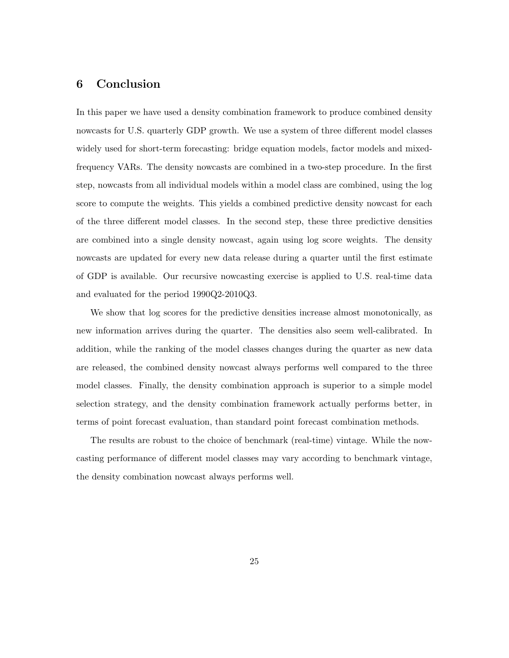# 6 Conclusion

In this paper we have used a density combination framework to produce combined density nowcasts for U.S. quarterly GDP growth. We use a system of three different model classes widely used for short-term forecasting: bridge equation models, factor models and mixedfrequency VARs. The density nowcasts are combined in a two-step procedure. In the first step, nowcasts from all individual models within a model class are combined, using the log score to compute the weights. This yields a combined predictive density nowcast for each of the three different model classes. In the second step, these three predictive densities are combined into a single density nowcast, again using log score weights. The density nowcasts are updated for every new data release during a quarter until the first estimate of GDP is available. Our recursive nowcasting exercise is applied to U.S. real-time data and evaluated for the period 1990Q2-2010Q3.

We show that log scores for the predictive densities increase almost monotonically, as new information arrives during the quarter. The densities also seem well-calibrated. In addition, while the ranking of the model classes changes during the quarter as new data are released, the combined density nowcast always performs well compared to the three model classes. Finally, the density combination approach is superior to a simple model selection strategy, and the density combination framework actually performs better, in terms of point forecast evaluation, than standard point forecast combination methods.

The results are robust to the choice of benchmark (real-time) vintage. While the nowcasting performance of different model classes may vary according to benchmark vintage, the density combination nowcast always performs well.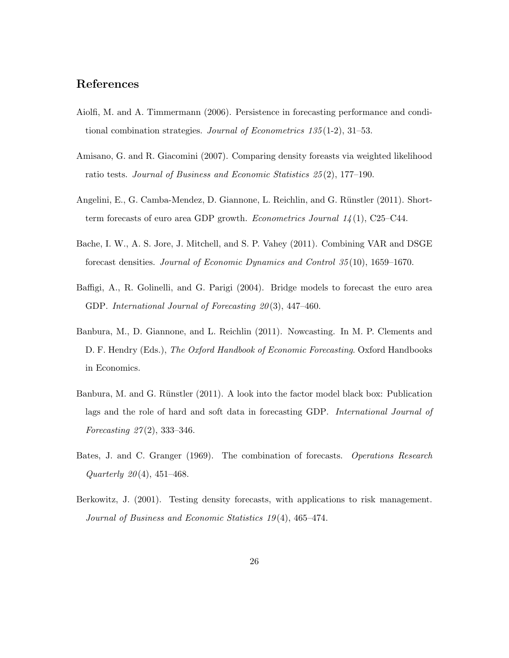# References

- <span id="page-26-5"></span>Aiolfi, M. and A. Timmermann (2006). Persistence in forecasting performance and conditional combination strategies. Journal of Econometrics 135 (1-2), 31–53.
- <span id="page-26-6"></span>Amisano, G. and R. Giacomini (2007). Comparing density foreasts via weighted likelihood ratio tests. Journal of Business and Economic Statistics 25 (2), 177–190.
- <span id="page-26-2"></span>Angelini, E., G. Camba-Mendez, D. Giannone, L. Reichlin, and G. Rünstler (2011). Shortterm forecasts of euro area GDP growth. *Econometrics Journal*  $14(1)$ , C25–C44.
- <span id="page-26-4"></span>Bache, I. W., A. S. Jore, J. Mitchell, and S. P. Vahey (2011). Combining VAR and DSGE forecast densities. Journal of Economic Dynamics and Control 35 (10), 1659–1670.
- <span id="page-26-8"></span>Baffigi, A., R. Golinelli, and G. Parigi (2004). Bridge models to forecast the euro area GDP. International Journal of Forecasting 20(3), 447-460.
- <span id="page-26-0"></span>Banbura, M., D. Giannone, and L. Reichlin (2011). Nowcasting. In M. P. Clements and D. F. Hendry (Eds.), The Oxford Handbook of Economic Forecasting. Oxford Handbooks in Economics.
- <span id="page-26-3"></span>Banbura, M. and G. Rünstler (2011). A look into the factor model black box: Publication lags and the role of hard and soft data in forecasting GDP. International Journal of Forecasting  $27(2)$ , 333-346.
- <span id="page-26-1"></span>Bates, J. and C. Granger (1969). The combination of forecasts. Operations Research Quarterly  $20(4)$ , 451–468.
- <span id="page-26-7"></span>Berkowitz, J. (2001). Testing density forecasts, with applications to risk management. Journal of Business and Economic Statistics 19 (4), 465–474.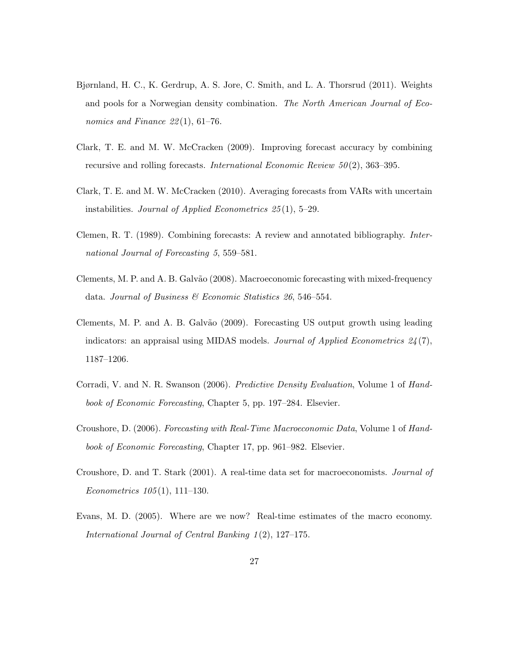- <span id="page-27-6"></span>Bjørnland, H. C., K. Gerdrup, A. S. Jore, C. Smith, and L. A. Thorsrud (2011). Weights and pools for a Norwegian density combination. The North American Journal of Economics and Finance  $22(1)$ , 61–76.
- <span id="page-27-4"></span>Clark, T. E. and M. W. McCracken (2009). Improving forecast accuracy by combining recursive and rolling forecasts. International Economic Review 50 (2), 363–395.
- <span id="page-27-5"></span>Clark, T. E. and M. W. McCracken (2010). Averaging forecasts from VARs with uncertain instabilities. Journal of Applied Econometrics  $25(1)$ , 5–29.
- <span id="page-27-7"></span>Clemen, R. T. (1989). Combining forecasts: A review and annotated bibliography. International Journal of Forecasting 5, 559–581.
- <span id="page-27-2"></span>Clements, M. P. and A. B. Galvão (2008). Macroeconomic forecasting with mixed-frequency data. Journal of Business & Economic Statistics 26, 546–554.
- <span id="page-27-3"></span>Clements, M. P. and A. B. Galvão (2009). Forecasting US output growth using leading indicators: an appraisal using MIDAS models. Journal of Applied Econometrics  $24(7)$ , 1187–1206.
- <span id="page-27-8"></span>Corradi, V. and N. R. Swanson (2006). Predictive Density Evaluation, Volume 1 of Handbook of Economic Forecasting, Chapter 5, pp. 197–284. Elsevier.
- <span id="page-27-9"></span>Croushore, D. (2006). Forecasting with Real-Time Macroeconomic Data, Volume 1 of Handbook of Economic Forecasting, Chapter 17, pp. 961–982. Elsevier.
- <span id="page-27-1"></span>Croushore, D. and T. Stark (2001). A real-time data set for macroeconomists. Journal of Econometrics  $105(1)$ , 111–130.
- <span id="page-27-0"></span>Evans, M. D. (2005). Where are we now? Real-time estimates of the macro economy. International Journal of Central Banking 1 (2), 127–175.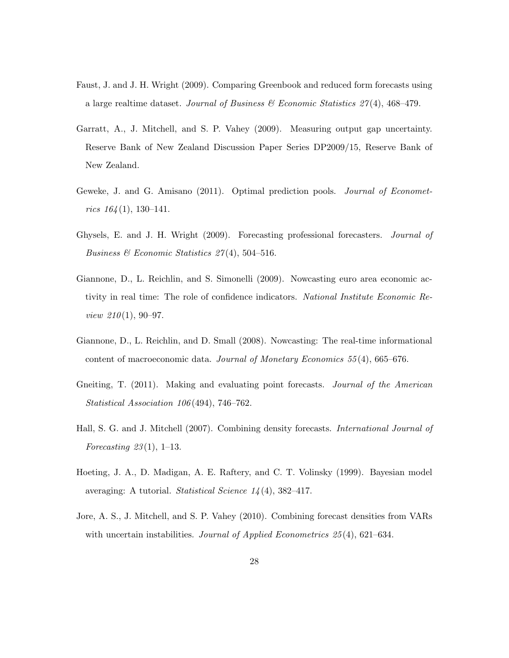- <span id="page-28-4"></span>Faust, J. and J. H. Wright (2009). Comparing Greenbook and reduced form forecasts using a large realtime dataset. Journal of Business  $\mathcal{C}$  Economic Statistics 27(4), 468–479.
- <span id="page-28-7"></span>Garratt, A., J. Mitchell, and S. P. Vahey (2009). Measuring output gap uncertainty. Reserve Bank of New Zealand Discussion Paper Series DP2009/15, Reserve Bank of New Zealand.
- <span id="page-28-5"></span>Geweke, J. and G. Amisano (2011). Optimal prediction pools. Journal of Econometrics  $164(1)$ , 130-141.
- <span id="page-28-6"></span>Ghysels, E. and J. H. Wright (2009). Forecasting professional forecasters. Journal of Business & Economic Statistics  $27(4)$ , 504-516.
- <span id="page-28-9"></span>Giannone, D., L. Reichlin, and S. Simonelli (2009). Nowcasting euro area economic activity in real time: The role of confidence indicators. National Institute Economic Re*view 210*(1), 90–97.
- <span id="page-28-0"></span>Giannone, D., L. Reichlin, and D. Small (2008). Nowcasting: The real-time informational content of macroeconomic data. Journal of Monetary Economics 55 (4), 665–676.
- <span id="page-28-1"></span>Gneiting, T. (2011). Making and evaluating point forecasts. Journal of the American Statistical Association 106 (494), 746–762.
- <span id="page-28-2"></span>Hall, S. G. and J. Mitchell (2007). Combining density forecasts. International Journal of Forecasting  $23(1)$ , 1–13.
- <span id="page-28-8"></span>Hoeting, J. A., D. Madigan, A. E. Raftery, and C. T. Volinsky (1999). Bayesian model averaging: A tutorial. Statistical Science 14 (4), 382–417.
- <span id="page-28-3"></span>Jore, A. S., J. Mitchell, and S. P. Vahey (2010). Combining forecast densities from VARs with uncertain instabilities. Journal of Applied Econometrics  $25(4)$ , 621–634.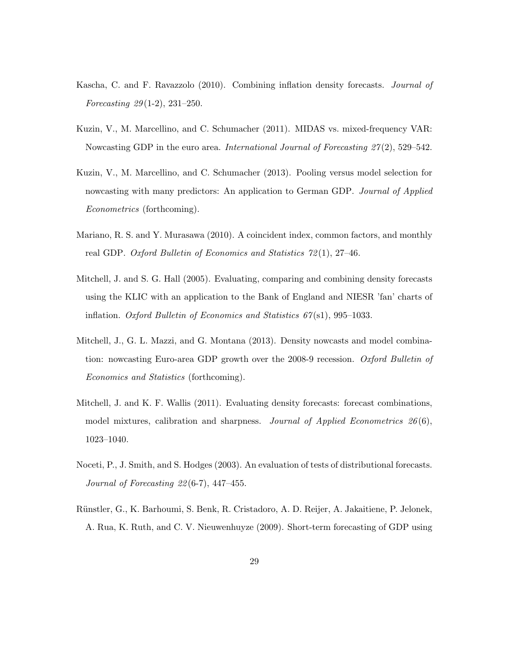- <span id="page-29-5"></span>Kascha, C. and F. Ravazzolo (2010). Combining inflation density forecasts. Journal of Forecasting  $29(1-2)$ ,  $231-250$ .
- <span id="page-29-0"></span>Kuzin, V., M. Marcellino, and C. Schumacher (2011). MIDAS vs. mixed-frequency VAR: Nowcasting GDP in the euro area. International Journal of Forecasting  $27(2)$ , 529–542.
- <span id="page-29-3"></span>Kuzin, V., M. Marcellino, and C. Schumacher (2013). Pooling versus model selection for nowcasting with many predictors: An application to German GDP. Journal of Applied Econometrics (forthcoming).
- <span id="page-29-8"></span>Mariano, R. S. and Y. Murasawa (2010). A coincident index, common factors, and monthly real GDP. Oxford Bulletin of Economics and Statistics  $72(1)$ , 27-46.
- <span id="page-29-1"></span>Mitchell, J. and S. G. Hall (2005). Evaluating, comparing and combining density forecasts using the KLIC with an application to the Bank of England and NIESR 'fan' charts of inflation. Oxford Bulletin of Economics and Statistics  $67(s1)$ , 995–1033.
- <span id="page-29-4"></span>Mitchell, J., G. L. Mazzi, and G. Montana (2013). Density nowcasts and model combination: nowcasting Euro-area GDP growth over the 2008-9 recession. Oxford Bulletin of Economics and Statistics (forthcoming).
- <span id="page-29-6"></span>Mitchell, J. and K. F. Wallis (2011). Evaluating density forecasts: forecast combinations, model mixtures, calibration and sharpness. Journal of Applied Econometrics  $26(6)$ , 1023–1040.
- <span id="page-29-7"></span>Noceti, P., J. Smith, and S. Hodges (2003). An evaluation of tests of distributional forecasts. Journal of Forecasting 22 (6-7), 447–455.
- <span id="page-29-2"></span>Rünstler, G., K. Barhoumi, S. Benk, R. Cristadoro, A. D. Reijer, A. Jakaitiene, P. Jelonek, A. Rua, K. Ruth, and C. V. Nieuwenhuyze (2009). Short-term forecasting of GDP using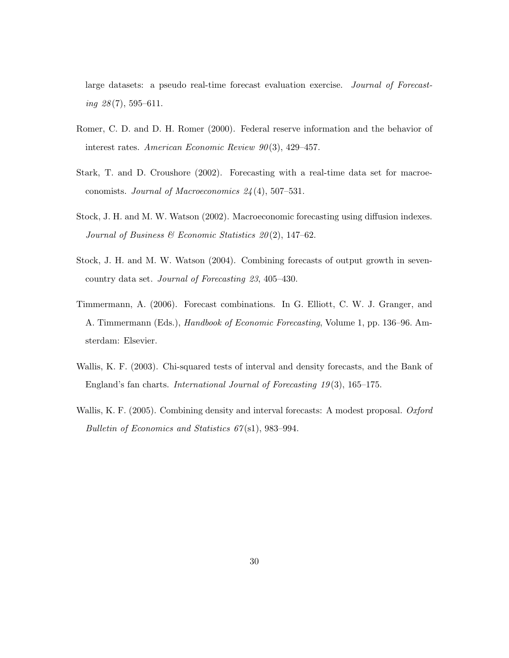large datasets: a pseudo real-time forecast evaluation exercise. Journal of Forecasting  $28(7)$ , 595–611.

- <span id="page-30-2"></span>Romer, C. D. and D. H. Romer (2000). Federal reserve information and the behavior of interest rates. American Economic Review  $90(3)$ , 429–457.
- <span id="page-30-1"></span>Stark, T. and D. Croushore (2002). Forecasting with a real-time data set for macroeconomists. Journal of Macroeconomics 24 (4), 507–531.
- <span id="page-30-6"></span>Stock, J. H. and M. W. Watson (2002). Macroeconomic forecasting using diffusion indexes. Journal of Business & Economic Statistics  $20(2)$ , 147-62.
- <span id="page-30-4"></span>Stock, J. H. and M. W. Watson (2004). Combining forecasts of output growth in sevencountry data set. Journal of Forecasting 23, 405–430.
- <span id="page-30-0"></span>Timmermann, A. (2006). Forecast combinations. In G. Elliott, C. W. J. Granger, and A. Timmermann (Eds.), Handbook of Economic Forecasting, Volume 1, pp. 136–96. Amsterdam: Elsevier.
- <span id="page-30-5"></span>Wallis, K. F. (2003). Chi-squared tests of interval and density forecasts, and the Bank of England's fan charts. International Journal of Forecasting 19 (3), 165–175.
- <span id="page-30-3"></span>Wallis, K. F. (2005). Combining density and interval forecasts: A modest proposal. Oxford Bulletin of Economics and Statistics 67(s1), 983-994.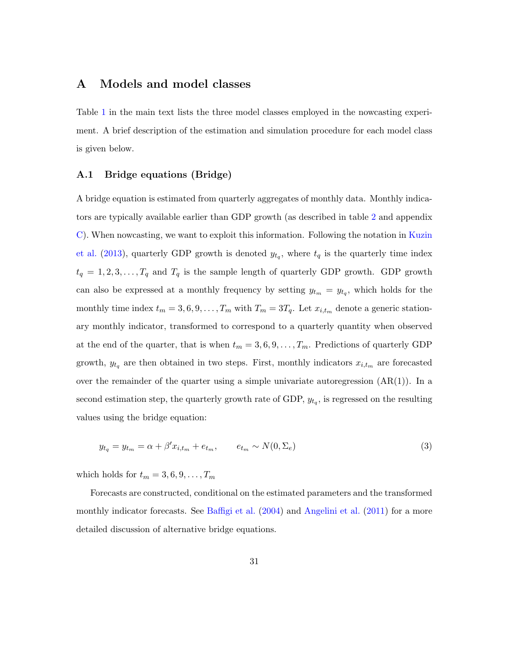# <span id="page-31-0"></span>A Models and model classes

Table [1](#page-8-0) in the main text lists the three model classes employed in the nowcasting experiment. A brief description of the estimation and simulation procedure for each model class is given below.

### A.1 Bridge equations (Bridge)

A bridge equation is estimated from quarterly aggregates of monthly data. Monthly indicators are typically available earlier than GDP growth (as described in table [2](#page-13-0) and appendix [C\)](#page-38-0). When nowcasting, we want to exploit this information. Following the notation in [Kuzin](#page-29-3) [et al.](#page-29-3) [\(2013\)](#page-29-3), quarterly GDP growth is denoted  $y_{t_q}$ , where  $t_q$  is the quarterly time index  $t_q = 1, 2, 3, \ldots, T_q$  and  $T_q$  is the sample length of quarterly GDP growth. GDP growth can also be expressed at a monthly frequency by setting  $y_{t_m} = y_{t_q}$ , which holds for the monthly time index  $t_m = 3, 6, 9, \ldots, T_m$  with  $T_m = 3T_q$ . Let  $x_{i,t_m}$  denote a generic stationary monthly indicator, transformed to correspond to a quarterly quantity when observed at the end of the quarter, that is when  $t_m = 3, 6, 9, \ldots, T_m$ . Predictions of quarterly GDP growth,  $y_{t_q}$  are then obtained in two steps. First, monthly indicators  $x_{i,t_m}$  are forecasted over the remainder of the quarter using a simple univariate autoregression  $(AR(1))$ . In a second estimation step, the quarterly growth rate of GDP,  $y_{t_q}$ , is regressed on the resulting values using the bridge equation:

<span id="page-31-1"></span>
$$
y_{t_q} = y_{t_m} = \alpha + \beta' x_{i,t_m} + e_{t_m}, \qquad e_{t_m} \sim N(0, \Sigma_e)
$$
\n
$$
(3)
$$

which holds for  $t_m = 3, 6, 9, \ldots, T_m$ 

Forecasts are constructed, conditional on the estimated parameters and the transformed monthly indicator forecasts. See [Baffigi et al.](#page-26-8)  $(2004)$  and [Angelini et al.](#page-26-2)  $(2011)$  for a more detailed discussion of alternative bridge equations.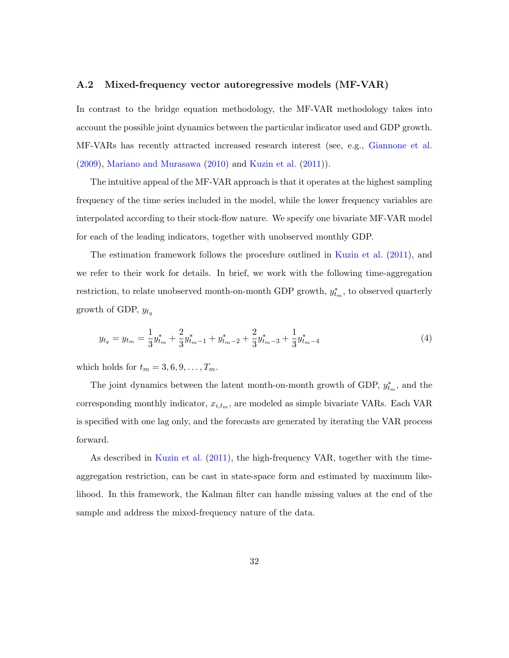#### A.2 Mixed-frequency vector autoregressive models (MF-VAR)

In contrast to the bridge equation methodology, the MF-VAR methodology takes into account the possible joint dynamics between the particular indicator used and GDP growth. MF-VARs has recently attracted increased research interest (see, e.g., [Giannone et al.](#page-28-9) [\(2009\)](#page-28-9), [Mariano and Murasawa](#page-29-8) [\(2010\)](#page-29-8) and [Kuzin et al.](#page-29-0) [\(2011\)](#page-29-0)).

The intuitive appeal of the MF-VAR approach is that it operates at the highest sampling frequency of the time series included in the model, while the lower frequency variables are interpolated according to their stock-flow nature. We specify one bivariate MF-VAR model for each of the leading indicators, together with unobserved monthly GDP.

The estimation framework follows the procedure outlined in [Kuzin et al.](#page-29-0) [\(2011\)](#page-29-0), and we refer to their work for details. In brief, we work with the following time-aggregation restriction, to relate unobserved month-on-month GDP growth,  $y_{t_m}^*$ , to observed quarterly growth of GDP,  $y_{t_q}$ 

$$
y_{t_q} = y_{t_m} = \frac{1}{3} y_{t_m}^* + \frac{2}{3} y_{t_m-1}^* + y_{t_m-2}^* + \frac{2}{3} y_{t_m-3}^* + \frac{1}{3} y_{t_m-4}^* \tag{4}
$$

which holds for  $t_m = 3, 6, 9, \ldots, T_m$ .

The joint dynamics between the latent month-on-month growth of GDP,  $y_{t_m}^*$ , and the corresponding monthly indicator,  $x_{i,t_m}$ , are modeled as simple bivariate VARs. Each VAR is specified with one lag only, and the forecasts are generated by iterating the VAR process forward.

As described in [Kuzin et al.](#page-29-0) [\(2011\)](#page-29-0), the high-frequency VAR, together with the timeaggregation restriction, can be cast in state-space form and estimated by maximum likelihood. In this framework, the Kalman filter can handle missing values at the end of the sample and address the mixed-frequency nature of the data.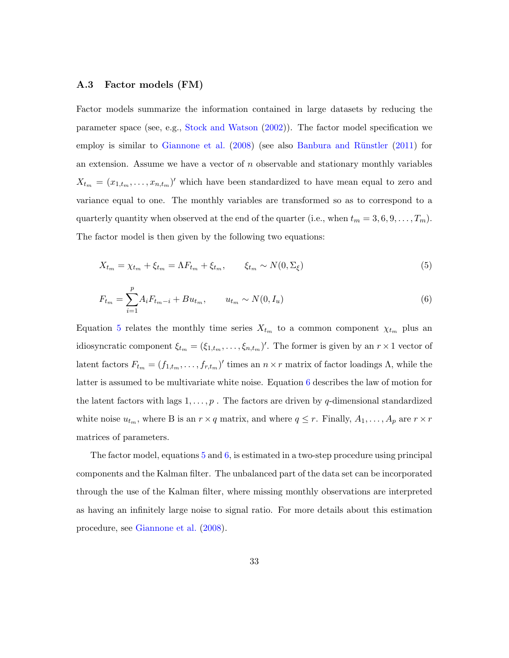#### <span id="page-33-2"></span>A.3 Factor models (FM)

Factor models summarize the information contained in large datasets by reducing the parameter space (see, e.g., [Stock and Watson](#page-30-6) [\(2002\)](#page-30-6)). The factor model specification we employ is similar to [Giannone et al.](#page-28-0) [\(2008\)](#page-28-0) (see also Banbura and Rünstler [\(2011\)](#page-26-3) for an extension. Assume we have a vector of  $n$  observable and stationary monthly variables  $X_{t_m} = (x_{1,t_m}, \ldots, x_{n,t_m})'$  which have been standardized to have mean equal to zero and variance equal to one. The monthly variables are transformed so as to correspond to a quarterly quantity when observed at the end of the quarter (i.e., when  $t_m = 3, 6, 9, \ldots, T_m$ ). The factor model is then given by the following two equations:

<span id="page-33-0"></span>
$$
X_{t_m} = \chi_{t_m} + \xi_{t_m} = \Lambda F_{t_m} + \xi_{t_m}, \qquad \xi_{t_m} \sim N(0, \Sigma_{\xi})
$$
\n
$$
\tag{5}
$$

<span id="page-33-1"></span>
$$
F_{t_m} = \sum_{i=1}^{p} A_i F_{t_m - i} + B u_{t_m}, \qquad u_{t_m} \sim N(0, I_u)
$$
\n(6)

Equation [5](#page-33-0) relates the monthly time series  $X_{t_m}$  to a common component  $\chi_{t_m}$  plus an idiosyncratic component  $\xi_{t_m} = (\xi_{1,t_m}, \ldots, \xi_{n,t_m})'$ . The former is given by an  $r \times 1$  vector of latent factors  $F_{t_m} = (f_{1,t_m}, \ldots, f_{r,t_m})'$  times an  $n \times r$  matrix of factor loadings  $\Lambda$ , while the latter is assumed to be multivariate white noise. Equation [6](#page-33-1) describes the law of motion for the latent factors with lags  $1, \ldots, p$ . The factors are driven by q-dimensional standardized white noise  $u_{t_m}$ , where B is an  $r \times q$  matrix, and where  $q \leq r$ . Finally,  $A_1, \ldots, A_p$  are  $r \times r$ matrices of parameters.

The factor model, equations  $5$  and  $6$ , is estimated in a two-step procedure using principal components and the Kalman filter. The unbalanced part of the data set can be incorporated through the use of the Kalman filter, where missing monthly observations are interpreted as having an infinitely large noise to signal ratio. For more details about this estimation procedure, see [Giannone et al.](#page-28-0) [\(2008\)](#page-28-0).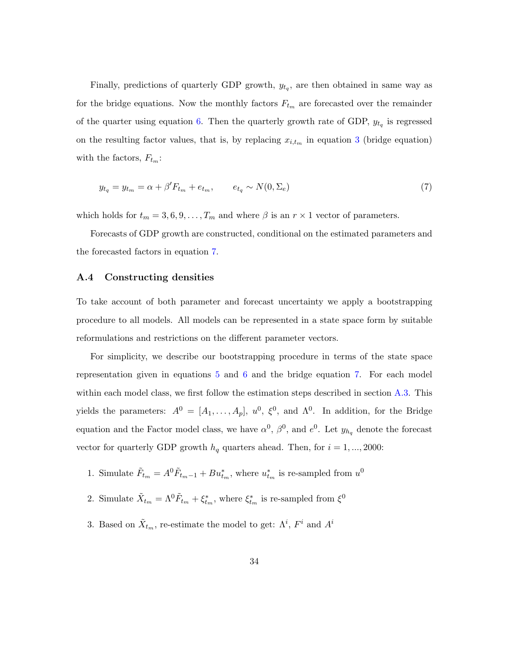Finally, predictions of quarterly GDP growth,  $y_{t_q}$ , are then obtained in same way as for the bridge equations. Now the monthly factors  $F_{t_m}$  are forecasted over the remainder of the quarter using equation [6.](#page-33-1) Then the quarterly growth rate of GDP,  $y_{t_q}$  is regressed on the resulting factor values, that is, by replacing  $x_{i,t_m}$  in equation [3](#page-31-1) (bridge equation) with the factors,  $F_{t_m}$ :

<span id="page-34-0"></span>
$$
y_{t_q} = y_{t_m} = \alpha + \beta' F_{t_m} + e_{t_m}, \qquad e_{t_q} \sim N(0, \Sigma_e)
$$
\n
$$
(7)
$$

which holds for  $t_m = 3, 6, 9, \ldots, T_m$  and where  $\beta$  is an  $r \times 1$  vector of parameters.

Forecasts of GDP growth are constructed, conditional on the estimated parameters and the forecasted factors in equation [7.](#page-34-0)

### A.4 Constructing densities

To take account of both parameter and forecast uncertainty we apply a bootstrapping procedure to all models. All models can be represented in a state space form by suitable reformulations and restrictions on the different parameter vectors.

For simplicity, we describe our bootstrapping procedure in terms of the state space representation given in equations [5](#page-33-0) and [6](#page-33-1) and the bridge equation [7.](#page-34-0) For each model within each model class, we first follow the estimation steps described in section [A.3.](#page-33-2) This yields the parameters:  $A^0 = [A_1, \ldots, A_p], u^0, \xi^0$ , and  $\Lambda^0$ . In addition, for the Bridge equation and the Factor model class, we have  $\alpha^0$ ,  $\beta^0$ , and  $e^0$ . Let  $y_{h_q}$  denote the forecast vector for quarterly GDP growth  $h_q$  quarters ahead. Then, for  $i = 1, ..., 2000$ :

- 1. Simulate  $\tilde{F}_{t_m} = A^0 \tilde{F}_{t_m-1} + B u_{t_m}^*$ , where  $u_{t_m}^*$  is re-sampled from  $u^0$
- 2. Simulate  $\tilde{X}_{t_m} = \Lambda^0 \tilde{F}_{t_m} + \xi_{t_m}^*$ , where  $\xi_{t_m}^*$  is re-sampled from  $\xi^0$
- 3. Based on  $\tilde{X}_{t_m}$ , re-estimate the model to get:  $\Lambda^i$ ,  $F^i$  and  $A^i$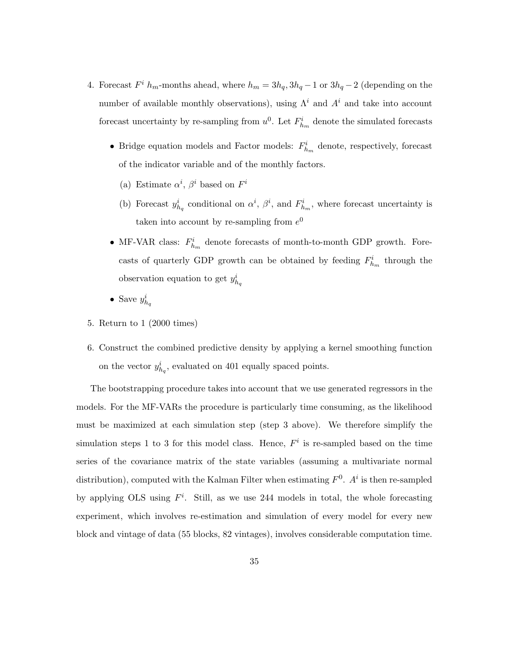- 4. Forecast  $F^i$  h<sub>m</sub>-months ahead, where  $h_m = 3h_q, 3h_q 1$  or  $3h_q 2$  (depending on the number of available monthly observations), using  $\Lambda^i$  and  $A^i$  and take into account forecast uncertainty by re-sampling from  $u^0$ . Let  $F^i_{h_m}$  denote the simulated forecasts
	- Bridge equation models and Factor models:  $F_{h_m}^i$  denote, respectively, forecast of the indicator variable and of the monthly factors.
		- (a) Estimate  $\alpha^i$ ,  $\beta^i$  based on  $F^i$
		- (b) Forecast  $y_{h_q}^i$  conditional on  $\alpha^i$ ,  $\beta^i$ , and  $F_{h_m}^i$ , where forecast uncertainty is taken into account by re-sampling from  $e^0$
	- MF-VAR class:  $F_{h_m}^i$  denote forecasts of month-to-month GDP growth. Forecasts of quarterly GDP growth can be obtained by feeding  $F_{h_m}^i$  through the observation equation to get  $y_{h_q}^i$
	- Save  $y_{h_q}^i$
- 5. Return to 1 (2000 times)
- 6. Construct the combined predictive density by applying a kernel smoothing function on the vector  $y_{h_q}^i$ , evaluated on 401 equally spaced points.

The bootstrapping procedure takes into account that we use generated regressors in the models. For the MF-VARs the procedure is particularly time consuming, as the likelihood must be maximized at each simulation step (step 3 above). We therefore simplify the simulation steps 1 to 3 for this model class. Hence,  $F<sup>i</sup>$  is re-sampled based on the time series of the covariance matrix of the state variables (assuming a multivariate normal distribution), computed with the Kalman Filter when estimating  $F^0$ .  $A^i$  is then re-sampled by applying OLS using  $F^i$ . Still, as we use 244 models in total, the whole forecasting experiment, which involves re-estimation and simulation of every model for every new block and vintage of data (55 blocks, 82 vintages), involves considerable computation time.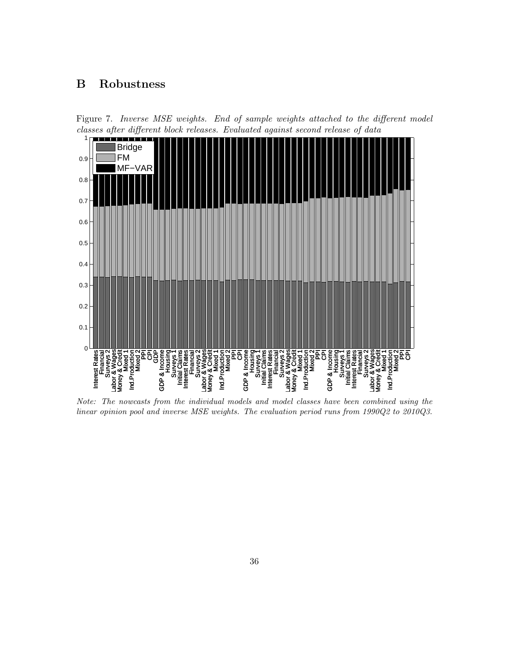# B Robustness

<span id="page-36-0"></span>



Note: The nowcasts from the individual models and model classes have been combined using the linear opinion pool and inverse MSE weights. The evaluation period runs from 1990Q2 to 2010Q3.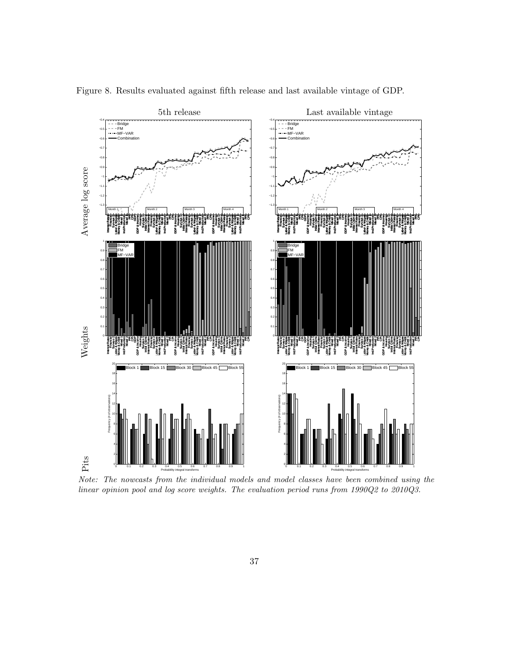

<span id="page-37-0"></span>Figure 8. Results evaluated against fifth release and last available vintage of GDP.

Note: The nowcasts from the individual models and model classes have been combined using the linear opinion pool and log score weights. The evaluation period runs from 1990Q2 to 2010Q3.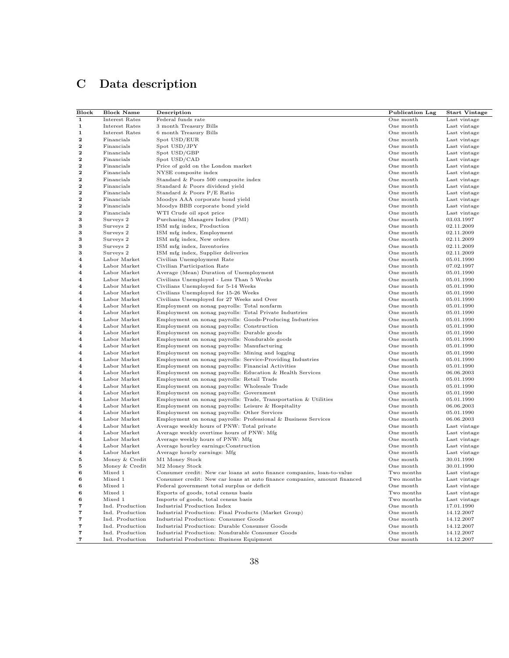# <span id="page-38-0"></span>C Data description

| Block        | <b>Block Name</b>            | Description                                                                                                     | <b>Publication Lag</b> | <b>Start Vintage</b>     |
|--------------|------------------------------|-----------------------------------------------------------------------------------------------------------------|------------------------|--------------------------|
| $\mathbf{1}$ | Interest Rates               | Federal funds rate                                                                                              | One month              | Last vintage             |
| $\mathbf{1}$ | Interest Rates               | 3 month Treasury Bills                                                                                          | One month              | Last vintage             |
| 1            | Interest Rates               | 6 month Treasury Bills                                                                                          | One month              | Last vintage             |
| $\mathbf{2}$ | Financials                   | Spot USD/EUR                                                                                                    | One month              | Last vintage             |
| $\mathbf{2}$ | Financials                   | Spot USD/JPY                                                                                                    | One month              | Last vintage             |
| 2            | Financials                   | Spot USD/GBP                                                                                                    | One month              | Last vintage             |
| $\mathbf{2}$ | Financials                   | Spot USD/CAD                                                                                                    | One month              | Last vintage             |
| $\mathbf{2}$ | Financials                   | Price of gold on the London market                                                                              | One month              | Last vintage             |
| 2            | Financials                   | NYSE composite index                                                                                            | One month              | Last vintage             |
| $\mathbf{2}$ | Financials                   | Standard & Poors 500 composite index                                                                            | One month              | Last vintage             |
| $\mathbf{2}$ | Financials                   | Standard & Poors dividend yield                                                                                 | One month              | Last vintage             |
| 2            | Financials                   | Standard & Poors P/E Ratio                                                                                      | One month              | Last vintage             |
| $\mathbf{2}$ | Financials                   | Moodys AAA corporate bond yield                                                                                 | One month              | Last vintage             |
| $\mathbf{2}$ | Financials                   | Moodys BBB corporate bond yield                                                                                 | One month              | Last vintage             |
| 2            | Financials                   | WTI Crude oil spot price                                                                                        | One month              | Last vintage             |
| 3            | Surveys 2                    | Purchasing Managers Index (PMI)                                                                                 | One month              | 03.03.1997               |
| 3            | Surveys 2                    | ISM mfg index, Production                                                                                       | One month              | 02.11.2009               |
| 3            | Surveys 2                    | ISM mfg index, Employment                                                                                       | One month              | 02.11.2009               |
| 3            | Surveys 2                    | ISM mfg index, New orders                                                                                       | One month              | 02.11.2009               |
| 3            | Surveys 2                    | ISM mfg index, Inventories                                                                                      | One month              | 02.11.2009               |
| 3            | Surveys 2                    | ISM mfg index, Supplier deliveries                                                                              | One month              | 02.11.2009               |
| 4            | Labor Market                 | Civilian Unemployment Rate                                                                                      | One month              | 05.01.1990               |
| 4            | Labor Market                 | Civilian Participation Rate                                                                                     | One month              | 07.02.1997               |
| 4            | Labor Market                 | Average (Mean) Duration of Unemployment                                                                         | One month              | 05.01.1990               |
| 4            | Labor Market                 | Civilians Unemployed - Less Than 5 Weeks                                                                        | One month              | 05.01.1990               |
| 4            | Labor Market                 | Civilians Unemployed for 5-14 Weeks                                                                             | One month              | 05.01.1990               |
| 4            | Labor Market                 | Civilians Unemployed for 15-26 Weeks                                                                            | One month              | 05.01.1990               |
| 4            | Labor Market                 | Civilians Unemployed for 27 Weeks and Over                                                                      | One month              | 05.01.1990               |
| 4            | Labor Market                 | Employment on nonag payrolls: Total nonfarm                                                                     | One month              | 05.01.1990               |
| 4            | Labor Market                 | Employment on nonag payrolls: Total Private Industries                                                          | One month              | 05.01.1990               |
| 4            | Labor Market                 | Employment on nonag payrolls: Goods-Producing Industries                                                        | One month              | 05.01.1990               |
| 4            | Labor Market                 | Employment on nonag payrolls: Construction                                                                      | One month              | 05.01.1990               |
| 4            | Labor Market                 | Employment on nonag payrolls: Durable goods                                                                     | One month              | 05.01.1990               |
| 4            | Labor Market<br>Labor Market | Employment on nonag payrolls: Nondurable goods                                                                  | One month              | 05.01.1990               |
| 4<br>4       | Labor Market                 | Employment on nonag payrolls: Manufacturing                                                                     | One month              | 05.01.1990               |
| 4            | Labor Market                 | Employment on nonag payrolls: Mining and logging<br>Employment on nonag payrolls: Service-Providing Industries  | One month<br>One month | 05.01.1990<br>05.01.1990 |
| 4            | Labor Market                 |                                                                                                                 | One month              | 05.01.1990               |
| 4            | Labor Market                 | Employment on nonag payrolls: Financial Activities<br>Employment on nonag payrolls: Education & Health Services | One month              | 06.06.2003               |
| 4            | Labor Market                 | Employment on nonag payrolls: Retail Trade                                                                      | One month              | 05.01.1990               |
| 4            | Labor Market                 | Employment on nonag payrolls: Wholesale Trade                                                                   | One month              | 05.01.1990               |
| 4            | Labor Market                 | Employment on nonag payrolls: Government                                                                        | One month              | 05.01.1990               |
| 4            | Labor Market                 | Employment on nonag payrolls: Trade, Transportation $&$ Utilities                                               | One month              | 05.01.1990               |
| 4            | Labor Market                 | Employment on nonag payrolls: Leisure & Hospitality                                                             | One month              | 06.06.2003               |
| 4            | Labor Market                 | Employment on nonag payrolls: Other Services                                                                    | One month              | 05.01.1990               |
| 4            | Labor Market                 | Employment on nonag payrolls: Professional & Business Services                                                  | One month              | 06.06.2003               |
| 4            | Labor Market                 | Average weekly hours of PNW: Total private                                                                      | One month              | Last vintage             |
| 4            | Labor Market                 | Average weekly overtime hours of PNW: Mfg                                                                       | One month              | Last vintage             |
| 4            | Labor Market                 | Average weekly hours of PNW: Mfg                                                                                | One month              | Last vintage             |
| 4            | Labor Market                 | Average hourley earnings: Construction                                                                          | One month              | Last vintage             |
| 4            | Labor Market                 | Average hourly earnings: Mfg                                                                                    | One month              | Last vintage             |
| 5            | Money & Credit               | M1 Money Stock                                                                                                  | One month              | 30.01.1990               |
| 5            | Money & Credit               | M2 Money Stock                                                                                                  | One month              | 30.01.1990               |
| 6            | Mixed 1                      | Consumer credit: New car loans at auto finance companies, loan-to-value                                         | Two months             | Last vintage             |
|              | Mixed 1                      | Consumer credit: New car loans at auto finance companies, amount financed                                       | Two months             | Last vintage             |
| 6            | Mixed 1                      | Federal government total surplus or deficit                                                                     | One month              | Last vintage             |
| 6            | Mixed 1                      | Exports of goods, total census basis                                                                            | Two months             | Last vintage             |
| 6            | Mixed 1                      | Imports of goods, total census basis                                                                            | Two months             | Last vintage             |
| 7            | Ind. Production              | Industrial Production Index                                                                                     | One month              | 17.01.1990               |
| 7            | Ind. Production              | Industrial Production: Final Products (Market Group)                                                            | One month              | 14.12.2007               |
| 7            | Ind. Production              | Industrial Production: Consumer Goods                                                                           | One month              | 14.12.2007               |
| 7            | Ind. Production              | Industrial Production: Durable Consumer Goods                                                                   | One month              | 14.12.2007               |
| 7            | Ind. Production              | Industrial Production: Nondurable Consumer Goods                                                                | One month              | 14.12.2007               |
| 7            | Ind. Production              | Industrial Production: Business Equipment                                                                       | One month              | 14.12.2007               |